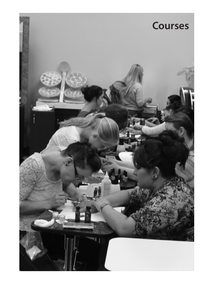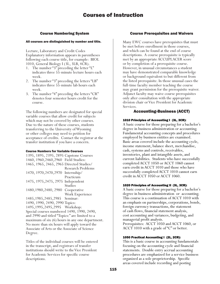# Course Numbering System

#### All courses are distinguished by number and title.

Lecture, Laboratory and Credit Codes Explanatory information appears in parentheses following each course title, for example: BIOL 1010, General Biology I (3L, 3LB, 4CR).

- 1. The number "3" preceding the letter "L" indicates three 55-minute lecture hours each week.
- 2. The number "3" preceding the letters "LB" indicates three 55-minute lab hours each week.
- 3. The number "4" preceding the letters "CR" denotes four semester hours credit for the course.

The following numbers are designated for special variable courses that allow credit for subjects which may not be covered by other courses. Due to the nature of these courses, students transferring to the University of Wyoming or other colleges may need to petition for acceptance of credits. Contact the registrar at the transfer institution if you have a concern.

#### Course Numbers for Variable Courses

| 1395, 1895, 2395, 2895 Capstone Courses        |                                                 |
|------------------------------------------------|-------------------------------------------------|
| 1460, 1960, 2460, 2960 Field Studies:          |                                                 |
| 1465, 1965, 2465, 2965 Directed Studies/       |                                                 |
|                                                | <b>Research Problems</b>                        |
| 1470, 1970, 2470, 2970 Internship/             |                                                 |
|                                                | Practicum                                       |
| 1475, 1975, 2475, 2975 Independent             |                                                 |
|                                                | Studies                                         |
| 1480, 1980, 2480, 2980                         | Cooperative                                     |
|                                                | Work Experience                                 |
| 1485, 1985, 2485, 2985 Seminar:                |                                                 |
| 1490, 1990, 2490, 2990 Topics:                 |                                                 |
| 1495, 1995, 2495, 2995                         | Workshop:                                       |
| Special courses numbered 1490, 1990, 2490,     |                                                 |
| and 2990 and titled "Topics:" are limited to a |                                                 |
|                                                | maximum of six (6) hours in any one department. |
| No more than six hours will apply toward the   |                                                 |
| Associate of Arts or the Associate of Science  |                                                 |
| Degree.                                        |                                                 |
|                                                |                                                 |

Titles of the individual courses will be entered in the transcript, and registrars of transfer institutions should write to the Vice President for Academic Services for specific course descriptions.

# Course Prerequisites and Waivers

Many EWC courses have prerequisites that must be met before enrollment in those courses, and which can be found at the end of course descriptions. A course prerequisite is typically met by an appropriate ACCUPLACER score or by completion of a prerequisite course. However, in unusual circumstances a student may have demonstrated comparable knowledge or background equivalent to but different from the listed prerequisite. In those unusual cases the full-time faculty member teaching the course may grant permission for the prerequisite waiver. Adjunct faculty may waive course prerequisites only after consultation with the appropriate division chair or Vice President for Academic Services.

# Accounting-Business (ACCT)

## 1010 Principles of Accounting I (3L, 3CR):

A basic course for those preparing for a bachelor's degree in business administration or accounting. Fundamental accounting concepts and procedures employed by business entities are examined. Basic areas covered include the accounting cycle, income statement, balance sheet, merchandise, cash, systems and controls, receivables, inventories, plant and intangible assets, and current liabilities. Students who have successfully completed ACCT 1050 or ACCT 1060 cannot earn credit in ACCT 1010 and those who have successfully completed ACCT 1010 cannot earn credit in ACCT 1050 or ACCT 1060.

## 1020 Principles of Accounting II (3L, 3CR):

A basic course for those preparing for a bachelor's degree in business administration or accounting. This course is a continuation of ACCT 1010 with an emphasis on partnerships, corporations, bonds, foreign currency transactions, the statement of cash flows, financial statement analysis, cost accounting and variances, budgeting, and managerial profit analysis. Prerequisites: ACCT 1050 and ACCT 1060, or ACCT 1010 with a grade of "C" or better.

## 1050 Practical Accounting I (2L, 2CR):

This is a basic course in accounting fundamentals focusing on the accounting cycle and financial statements. Double entry accrual accounting procedures are emphasized for a service business organized as a sole proprietorship. Specific areas covered include recording and posting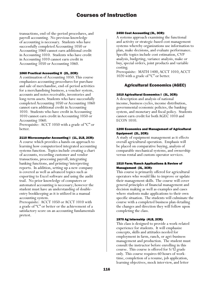transactions, end-of-the-period procedures, and payroll accounting. No previous knowledge of accounting is necessary. Students who have successfully completed Accounting 1050 or Accounting 1060 cannot earn additional credit in Accounting 1010. Students who have credit in Accounting 1010 cannot earn credit in Accounting 1050 or Accounting 1060.

#### 1060 Practical Accounting II (2L, 2CR):

A continuation of Accounting 1050. This course emphasizes accounting procedures for purchase and sale of merchandise, end-of-period activities for a merchandising business, a voucher system, accounts and notes receivable, inventories and long-term assets. Students who have successfully completed Accounting 1050 or Accounting 1060 cannot earn additional credit in Accounting 1010. Students who have credit in Accounting 1010 cannot earn credit in Accounting 1050 or Accounting 1060.

Prerequisite: ACCT 1050 with a grade of "C" or better.

#### 2110 Microcomputer Accounting I (1L, 2LB, 2CR):

A course which provides a hands-on approach to learning how computerized integrated accounting systems function. Topics include creating a chart of accounts, recording customer and vendor transactions, processing payroll, integrating banking functions, and printing/interpreting reports. In addition, setting up a new company is covered as well as advanced topics such as exporting to Excel software and using the audit trail. No prior knowledge of computers or automated accounting is necessary; however the student must have an understanding of doubleentry bookkeeping as it is utilized in a manual accounting system.

Prerequisite: ACCT 1050 or ACCT 1010 with a grade of "C" or better or the achievement of a satisfactory score on an accounting fundamentals pretest.

#### 2450 Cost Accounting (3L, 3CR):

A systems approach examining the functional and activity or strategic-based cost management systems whereby organizations use information to plan, make decisions, and evaluate performance. Specific topics include cost estimation, CVP analysis, budgeting, variance analysis, make or buy, special orders, joint products and variable costing.

Prerequisite: MATH 1400, ACCT 1010, ACCT 1020 with a grade of "C" or better.

# Agricultural Economics (AGEC)

#### 1010 Agricultural Economics I (3L, 3CR):

A description and analysis of national income, business cycles, income distribution, governmental economic policies, the banking system, and monetary and fiscal policy. Students cannot earn credit for both AGEC 1010 and ECON 1010.

#### 1200 Economics and Management of Agricultural Equipment (2L, 2CR):

A study of equipment management as it effects overall agricultural operation. Emphasis will be placed on comparative buying, analysis of comparable mechanical systems, and ownership versus rental and custom operator services.

## 1510 Farm/Ranch Applications & Review of Management (3L, 3CR):

This course is primarily offered for agricultural operators who would like to improve or update their management skills. The course will cover general principles of financial management and decision making as well as examples and cases where students make applications to their own specific situation. The students will culminate the course with a completed business plan detailing the changes and direction they will follow upon completing the class.

#### 1970 Ag Internship (4LB, 2CR):

This class is designed to provide a work-related experience for students. It will emphasize concepts, skills and attitudes needed for employment in farm, ranch, or agri-business management and production. The student must consult the instructor before enrolling in this course. This course is offered for S/U grade only. This course requires 60 hours of worktime, completion of a resume, job application, learning objectives, mock interview, and letter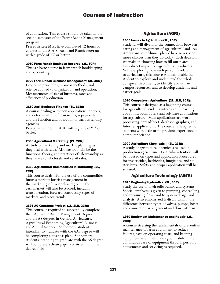of application. This course should be taken in the second semester of the Farm/Ranch Management program.

Prerequisites: Must have completed 12 hours of courses in the A.A.S. Farm and Ranch program with a grade of "C" or better.

#### 2010 Farm-Ranch Business Records (3L, 3CR):

This is a basic course in farm/ranch bookkeeping and accounting.

#### 2020 Farm-Ranch Business Management (3L, 3CR):

Economic principles, business methods, and science applied to organization and operation. Measurements of size of business, rates and efficiency of production.

#### 2150 Agri-Business Finance (3L, 3CR):

A course dealing with loan applications, options, and determination of loan needs, repayability, and the function and operation of various lending agencies.

Prerequisite: AGEC 2010 with a grade of "C" or better.

#### 2300 Agricultural Marketing (2L, 2CR):

A study of marketing and market planning as they deal with sales. Also covered will be the functions, theory, and practices of salesmanship as they relate to wholesale and retail sales.

#### 2350 Agricultural Commodities in Marketing (2L, 2CR):

This course deals with the use of the commodities futures markets for risk management in the marketing of livestock and grain. The cash market will also be studied, including transportation, forward contracting types of markets, and price trends.

#### 2395 AG Capstone Project (1L, 2LB, 2CR):

This course is required to successfully complete the AAS Farm/Ranch Management Degree and the AS degrees in General Agriculture, Agricultural Economics, Agricultural Business, and Animal Science. Sophomore students intending to graduate with the AAS degree will be completing a business plan. Sophomore students intending to graduate with the AS degree will complete a thesis paper consistent with their degree field.

# Agriculture (AGRI)

#### 1000 Issues in Agriculture (1L, 1CR):

Students will dive into the connections between eating and management of agricultural land. As Americans, our "dinner plates" have never seen more choices than they do today. Each decision we make in choosing how to fill our plates has a direct impact on agricultural producers. While exploring how each person is related to agriculture, this course will also enable the student to explore and understand the whole college environment, to identify and utilize campus resources, and to develop academic and career goals.

#### 1010 Computers: Agriculture (2L, 2LB, 3CR):

This course is designed as a beginning course for agricultural students interested in learning about microcomputers and software applications for agriculture. Main applications are word processing, spreadsheet, database, graphics, and Internet applications. The course is designed for students with little or no previous experience in computer science.

#### 2000 Agriculture Chemicals I (2L, 2CR):

A study of agricultural chemicals as used in production agriculture. Particular attention will be focused on types and application procedures for insecticides, herbicides, fungicides, and soil sterilants. Safety and proper application will be stressed.

## Agriculture Technology (AGTK)

#### 1810 Beginning Hydraulics (3L, 3CR):

Study the use of hydraulic pumps and systems. Special emphasis is given to pumping, controlling, and measuring flows and to system design and analysis. Also emphasized is distinguishing the difference between types of valves, pumps, hoses, and connection arrangement and flow patterns.

#### 1910 Equipment Maintenance and Repair (2L, 2CR):

A course stressing the fundamentals of preventive maintenance of farm equipment to reduce failures, save on operating costs, and keeping equipment safe. Establishes good habits in the continuous care of equipment through periodic adjustments and servicing as required.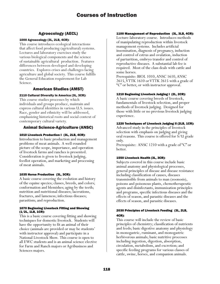# Agroecology (AECL)

## 1000 Agroecology (3L, 2LB, 4CR):

This course introduces ecological interactions that affect food producing (agricultural) systems. Lectures and laboratory exercises study the various biological components and the science of sustainable agricultural production. Features differences between developed and developing countries. Explores crises and challenges facing agriculture and global society. This course fulfills the General Education requirement for Lab Science.

# American Studies (AMST)

# 2110 Cultural Diversity in America (3L, 3CR):

This course studies processes by which individuals and groups produce, maintain and express cultural identities in various U.S. issues. Race, gender and ethnicity will be addressed, emphasizing historical roots and social context of contemporary cultural variety.

# Animal Science-Agriculture (ANSC)

# 1010 Livestock Production I (3L, 2LB, 4CR):

Introduction to basic production and management problems of meat animals. A well-rounded picture of the scope, importance, and operation of livestock farms and ranches is presented. Consideration is given to livestock judging, feedlot operation, and marketing and processing of meat animals.

## 1035 Horse Production (3L, 3CR):

A basic course covering the evolution and history of the equine species; classes, breeds, and colors; conformation and blemishes; aging by the teeth; nutrition and nutritional diseases; lacerations, fractures, and lameness; infectious diseases; parasitism; and reproduction.

#### 1070 Beginning Livestock Fitting and Showing (1/2L, 1LB, 1CR):

This is a basic course covering fitting and showing techniques for domestic livestock. Students will have the opportunity to fit an animal of their choice (animals are provided or may be students' with instructor approval) and participate in a National Livestock Show. This course is open to all EWC students and is an animal science elective for Farm and Ranch majors or Agribusiness and Sciences majors.

## 1100 Management of Reproduction (3L, 3LB, 4CR):

Lecture-laboratory course. Introduces methods of manipulating reproduction within livestock management systems. Includes artificial insemination, diagnosis of pregnancy, induction and control of estrus and ovulation, induction of parturition, embryo transfer and control of reproductive diseases. A substantial lab fee is required. Most of the class deals with cattle and some horses.

Prerequisite: BIOL 1010, ANSC 1610, ANSC 2615, VTTK 1610 or VTTK 2615 with a grade of "C" or better, or with instructor approval.

# 1210 Beginning Livestock Judging I (2L, 2CR):

A basic course covering breeds of livestock, fundamentals of livestock selection, and proper methods of livestock judging. Designed for those with little or no previous livestock judging experience.

## 1220 Techniques of Livestock Judging II (2LB, 1CR):

Advanced study in the principles of livestock selection with emphasis on judging and giving oral reasons. This course is offered for S/U grade only.

Prerequisite: ANSC 1210 with a grade of "C" or better.

## 1550 Livestock Health (3L, 3CR):

Subjects covered in this course include basic animal anatomy and physiological processes, general principles of disease and disease resistance including classification of causes, diseases transmissible from animals to man (zoonosis), poisons and poisonous plants, chemotherapeutic agents and disinfectants, immunization principles and programs, specific infectious diseases and the effects of season, and parasitic diseases and the effects of season, and parasitic diseases.

# 2030 Principles of Livestock Feeding (3L, 2LB, 4CR):

This course will include the review of basic principles of chemistry; classification of nutrients and feeds; basic digestive anatomy and physiology in monogastric, ruminant, and monogastric herbivorous animals; basic nutritive processes including ingestion, digestion, absorption, circulation, metabolism, and excretion; and specific feeding programs for various classes of cattle, swine, horses, and companion animals.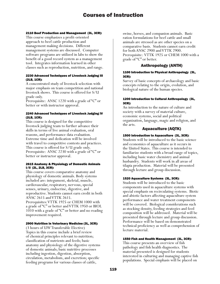#### 2110 Beef Production and Management (3L, 3CR):

This course emphasizes a profit-oriented approach to beef cattle production and management making decisions. Different management systems are discussed. Computer software programs are utilized in labs to show the benefit of a good record system as a management tool. Integrates information learned in other classes such as reproduction, nutrition, and range.

#### 2230 Advanced Techniques of Livestock Judging III (2LB, 1CR):

A concentrated study of livestock selection with major emphasis on team competition and national livestock shows. This course is offered for S/U grade only.

Prerequisite: ANSC 1220 with a grade of "C" or better or with instructor approval.

#### 2240 Advanced Techniques of Livestock Judging IV (2LB, 1CR):

This course is designed for the competitive livestock judging team to further advance their skills in terms of live animal evaluation, oral reasons, and performance data evaluation. Extreme time and dedication will be involved with travel to competitive contests and practices. This course is offered for S/U grade only. Prerequisite: ANSC 2230 with a grade of "C" or better or instructor approval.

#### 2615 Anatomy & Physiology of Domestic Animals I/II (2L, 2LB, 3CR):

This course covers comparative anatomy and physiology of domestic animals. Body systems included are: integument, skeletal, muscle, cardiovascular, respiratory, nervous, special senses, urinary, endocrine, digestive, and reproductive. Students cannot earn credit in both ANSC 2615 and VTTK 2615.

Prerequisites: VTTK 1925 or CHEM 1000 with a grade of "C" or better and VTTK 1950 or BIOL  $1010$  with a grade of "C" or better and no reading improvement required.

#### 2900 Nutrition in Veterinary Medicine (3L, 3CR):

(3 hours of UW Transferable Elective) Topics in this course include a brief review of chemical principles relevant to nutrition; classification of nutrients and feeds; basic anatomy and physiology of the digestive systems of domestic animals; basic nutritive processes including ingestion, digestion, absorption, circulation, metabolism, and excretion; specific feeding programs for various classes of cattle,

swine, horses, and companion animals. Basic ration formulations for beef cattle and small animals are stressed as are other species on a comparative basis. Students cannot earn credit for both ANSC 2900 and VTTK 2900. Prerequisite: VTTK 1925 or CHEM 1000 with a grade of "C" or better.

# Anthropology (ANTH)

#### 1100 Introduction to Physical Anthropology (3L, 3CR):

Survey of basic concepts of archaeology and basic concepts relating to the origin, evolution, and biological nature of the human species.

#### 1200 Introduction to Cultural Anthropology (3L, 3CR):

An introduction to the nature of culture and society with a survey of material culture, economic systems, social and political organization, language, magic and religion, and the arts.

# Aquaculture (AQTK)

# 1500 Introduction to Aquaculture (3L, 3CR):

Students will be introduced to the basic science and economics of aquaculture as it occurs in the United States. This course is intended to familiarize students with a broad range of topics, including basic water chemistry and animal husbandry. Students will work in all areas of tilapia production. Material will be presented through lecture and group discussion.

## 1520 Aquaculture Systems (3L, 3CR):

Students will be introduced to the basic components used in aquaculture systems with special emphasis on recirculating systems. Biotic and abiotic factors affecting aquaculture system performance and water treatment components will be covered. Biological considerations such as stocking density, feeding strategies and feed composition will be addressed. Material will be presented through lecture and group discussion. Performance will be based on demonstrated technical proficiency as well as comprehension of lecture material.

## 1550 Fish and Health Management (3L, 3CR):

This course presents an overview of fish pathology and fish health diagnostics. The material presented is designed for students interested in culturing and managing captive fish populations. Special emphasis will be placed on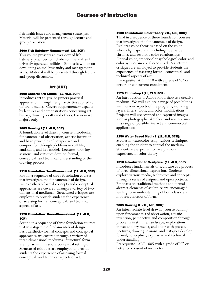fish health issues and management strategies. Material will be presented through lecture and group discussion.

#### 1600 Fish Hatchery Management (3L, 3CR):

This course presents an overview of fish hatchery practices to include commercial and privately operated facilities. Emphasis will be on developing animal husbandry and management skills. Material will be presented through lecture and group discussion.

# Art (ART)

## 1000 General Art: Studio (1L, 4LB, 3CR):

Introduces art to give beginners practical appreciation through design activities applied to different media. Covers supplementary aspects by lectures and demonstrations concerning art history, drawing, crafts and others. For non-art majors only.

#### 1005 Drawing I (1L, 4LB, 3CR):

A foundation level drawing course introducing fundamentals of observation, artistic invention, and basic principles of perspective and composition through problems in still life, landscape, and live model. Lectures, drawing sessions, and critiques develop formal, conceptual, and technical understanding of the drawing process.

## 1110 Foundation: Two-Dimensional (1L, 4LB, 3CR):

First in a sequence of three foundation courses that investigate the fundamentals of design. Basic aesthetic/formal concepts and conceptual approaches are covered through a variety of twodimensional mediums. Structured critiques are employed to provide students the experience of assessing formal, conceptual, and technical aspects of art.

#### 1120 Foundation: Three-Dimensional (1L, 4LB, 3CR):

Second in a sequence of three foundation courses that investigate the fundamentals of design. Basic aesthetic/formal concepts and conceptual approaches are covered through a variety of three-dimensional mediums. Structural form is emphasized in various contextual settings. Structured critiques are employed to provide students the experience of assessing formal, conceptual, and technical aspects of art.

#### 1130 Foundation: Color Theory (1L, 4LB, 3CR):

Third in a sequence of three foundation courses that investigate the fundamentals of design. Explores color theories based on the color wheel/light spectrum including hue, value, chroma, and aesthetic color relationships. Optical color, emotional/psychological color, and color symbolism are also covered. Structured critiques are employed to provide students the experience of assessing formal, conceptual, and technical aspects of art. Prerequisite: ART 1110 with a grade of "C" or

## 1179 Photoshop I (2L, 2LB, 3CR):

better, or concurrent enrollment.

An introduction to Adobe Photoshop as a creative medium. We will explore a range of possibilities with various aspects of the program, including layers, filters, tools, and color modifications. Projects will use scanned and captured images such as photographs, sketches, and real textures in a range of possible fine art and commercial applications.

#### 1250 Water Based Media I (1L, 4LB, 3CR):

Studies in watercolor using various techniques enabling the student to control the medium. Students are expected to have previous experience in color theory.

#### 1310 Introduction to Sculpture (1L, 4LB, 3CR):

Introduces fundamentals of sculpture as a process of three-dimensional expression. Students explore various media, techniques and concepts through a series of assigned and open projects. Emphasis on traditional methods and formal abstract elements of sculpture are encouraged, leading to an understanding of both classic and modern concepts of form.

#### 2005 Drawing II (1L, 4LB, 3CR):

An intermediate level drawing course building upon fundamentals of observation, artistic invention, perspective and composition through problems in still life, landscape, explorations in wet and dry media, and color with pastels. Lectures, drawing sessions, and critiques develop formal, conceptual, expressive and technical understanding.

Prerequisite: ART 1005 with a grade of "C" or better or consent of instructor.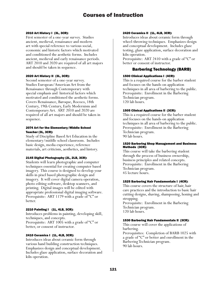#### 2010 Art History I (3L, 3CR):

First semester of a one-year survey. Studies ancient, medieval, renaissance and modern art with special reference to various social, economic and historic factors which motivated and conditioned the aesthetic forms. Includes ancient, medieval and early renaissance periods. ART 2010 and 2020 are required of all art majors and should be taken in sequence.

#### 2020 Art History II (3L, 3CR):

Second semester of a one-year survey. Studies European/American Art from the Renaissance through Contemporary with special emphasis and historical factors which motivated and conditioned the aesthetic forms. Covers Renaissance, Baroque, Rococo, 18th Century, 19th Century, Early Modernism and Contemporary Art. ART 2010 and 2020 are required of all art majors and should be taken in sequence.

#### 2074 Art for the Elementary/Middle School Teacher (3L, 3CR):

Study of Discipline Based Art Education in the elementary/middle school classroom. Includes basic design, media experience, reference materials, art criticism, aesthetics, and history.

#### 2145 Digital Photography (2L, 2LB, 3CR):

Students will learn photographic and computer techniques essential for creating computer based imagery. This course is designed to develop your skills in pixel based photographic design and imagery. It will cover digital camera operation, photo editing software, desktop scanners, and printing. Digital images will be edited with appropriate professional digital imaging software. Prerequisite: ART 1179 with a grade of "C" or better.

## 2210 Painting I (1L, 4LB, 3CR):

Introduces problems in painting, developing skill, techniques, and concepts. Prerequisite: ART 1005 with a grade of "C" or better, or consent of instructor.

## 2410 Ceramics I (1L, 4LB, 3CR):

Introduces ideas about ceramic form through various hand building construction techniques. Emphasizes design and conceptual development. Includes glaze application, surface decoration and kiln operation.

#### 2420 Ceramics II (1L, 4LB, 3CR):

Introduces ideas about ceramic form through wheel-throwing techniques. Emphasizes design and conceptual development. Includes glaze testing, glaze application, surface decoration and kiln operation.

Prerequisite: ART 2410 with a grade of "C" or better or consent of instructor.

# Barbering Technology (BARB)

#### 1500 Clinical Applications I (4CR):

This is a required course for the barber student and focuses on the hands-on application techniques in all area of barbering to the public. Prerequisite: Enrollment in the Barbering Technician program. 120 lab hours.

#### 1505 Clinical Applications II (3CR):

This is a required course for the barber student and focuses on the hands-on application techniques in all area of barbering to the public. Prerequisite: Enrollment in the Barbering Technician program. 90 lab hours.

#### 1520 Barbering Shop Management and Business Methods (3CR):

This course will take the barbering student through the process of business ownership, business principles and related concepts. Prerequisite: Enrollment in the Barbering Technician program. 45 lecture hours.

#### 1525 Barbering Hair Fundamentals I (4CR):

This course covers the structure of hair, hair care practices and the introduction to basic hair cutting designs, shaving, shampooing, honing and stropping. Prerequisite: Enrollment in the Barbering Technician program. 120 lab hours.

#### 1530 Barbering Hair Fundamentals II (3CR):

This course will cover the applications of barbering.

Prerequisites: Completion of BARB 1025 with a grade of "C" or better and enrollment in the Barbering Technician program. 90 lab hours.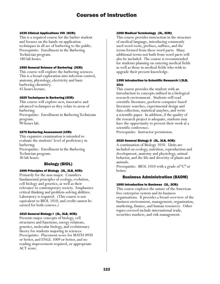#### 1535 Clinical Applications VIII (6CR):

This is a required course for the barber student and focuses on the hands-on application techniques in all are of barbering to the public. Prerequisite: Enrollment in the Barbering Technician program. 180 lab hours.

#### 1550 General Science of Barbering (3CR):

This course will explore the barbering sciences. This is a broad exploration into infection control, anatomy, physiology, electricity and basic barbering chemistry. 45 hours lecture.

#### 1625 Techniques in Barbering (3CR):

This course will explore new, innovative and advanced techniques as they relate to areas of barbering. Prerequisite: Enrollment in Barbering Technician program.

90 hours lab.

#### 1675 Barbering Assessment (1CR):

This expansive examination is intended to evaluate the students' level of proficiency in barbering.

Prerequisite: Enrollment in the Barbering Technician program. 30 lab hours.

# Biology (BIOL)

## 1000 Principles of Biology (3L, 3LB, 4CR):

Primarily for the non-major. Considers fundamental principles of ecology, evolution, cell biology and genetics, as well as their relevance to contemporary society. Emphasizes critical thinking and problem-solving abilities. Laboratory is required. (This course is not equivalent to BIOL 1010, and credit cannot be earned for both courses.)

## 1010 General Biology I (3L, 3LB, 4CR):

Presents major concepts of biology, cell structures and functions, energy relations, genetics, molecular biology, and evolutionary theory for students majoring in sciences. Prerequisite: Placement score for MATH 0920 or better, and ENGL 1009 or better, and no reading improvement required, or appropriate ACT score.

#### 1050 Medical Terminology (3L, 3CR):

This course provides instruction in the structure of medical language, introducing commonly used word roots, prefixes, suffixes, and the terms formed from these word parts. Many additional terms not built from word parts will also be included. The course is recommended for students planning on entering medical fields as well as those in medical fields who wish to upgrade their present knowledge.

#### 1390 Introduction to Scientific Research I (3LB, 1Cr):

This course provides the student with an introduction to concepts utilized in a biological research environment. Students will read scientific literature, perform computer-based literature searches, experimental design and data collection, statistical anaylses, and write a scientific paper. In addition, if the quality of the research project is adequate, students may have the opportunity to present their work at a scientific conference.

Prerequisite: Instructor permission.

## 2020 General Biology II (3L, 3LB, 4CR):

A continuation of Biology 1010. Units are included on ecology, nutrition, reproduction and development, anatomy and physiology, animal behavior, and the life and diversity of plants and animals.

Prerequisite: BIOL 1010 with a grade of "C" or better.

## Business Administration (BADM)

#### 1000 Introduction to Business (3L, 3CR):

This course explores the nature of the American free enterprise system and its business organizations. It provides a broad overview of the business environment, management, organization, marketing, finance, and human resources. Other topics covered include international trade, securities markets, and risk management.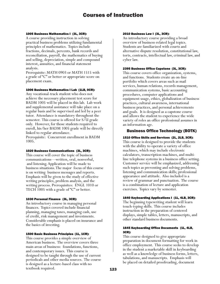#### 1005 Business Mathematics I (3L, 3CR):

A course providing instruction in solving practical business problems utilizing fundamental principles of mathematics. Topics include fractions, decimals, percents, bank records and reconciliation, payroll, the mathematics of buying and selling, depreciation, simple and compound interest, annuities, and financial statement analysis.

Prerequisite: MATH 0903 or MATH 1515 with a grade of "C" or better or appropriate score on placement exam.

#### 1006 Business Mathematics I Lab (1LB, 0CR):

Any vocational-track student who does not achieve the necessary placement test score for BADM 1005 will be placed in this lab. Lab work and supplemental assistance will take place on a regular basis and be supervised and led by a peer tutor. Attendance is mandatory throughout the semester. This course is offered for S/U grade only. However, for those students required to enroll, his/her BADM 1005 grade will be directly linked to regular attendance.

Prerequisite: Concurrent enrollment in BADM 1005.

#### 1020 Business Communications (3L, 3CR):

This course will cover the topic of business communications—written, oral, nonverbal, and listening. Application will be made to business situations. The major focus of this course is on writing business messages and reports. Emphasis will be given to the study of effective writing principles, problem analysis, and the writing process. Prerequisites: ENGL 1010 or TECH 1005 with a grade of "C" or better.

#### 1030 Personal Finance (3L, 3CR):

An introductory course in managing personal finances. Topics covered include financial planning, managing taxes, managing cash, use of credit, risk management and investments. Considerable emphasis is placed on insurance and the basics of investing.

#### 1500 Basic Business Principles (1L, 1CR):

This course provides a simple overview of American business. The overview covers three main areas of business: foundations, functions, and contemporary issues. This course is designed to be taught through the use of current periodicals and other media sources. The course is designed as a lecture-based class with no textbook required.

#### 2010 Business Law I (3L, 3CR):

An introductory course providing a broad overview of business-related legal topics. Students are familiarized with courts and alternative dispute resolution, constitutional law, torts, contracts, intellectual law, criminal law, and cyber law.

#### 2395 Business Office Capstone (3L, 3CR):

This course covers office organization, systems, and functions. Students create an on-line portfolio which covers areas such as mail services, human relations, records management, communication systems, basic accounting procedures, computer applications and equipment usage, ethics, globalization of business practices, cultural awareness, international business practices, and personal achievements and goals. It is designed as a capstone course and allows the student to experience the wide variety of roles an office professional assumes in an information age.

#### Business Office Technology (BOTK)

#### 1510 Office Skills and Services (2L, 2LB, 3CR):

This course is designed to provide the students with the ability to operate a variety of office machines, which may include electronic calculators, transcription machines, and multiline telephone systems in a business office setting. Customer service will be emphasized, addressing such topics as preventing and solving problems, listening and communication skills; professional appearance and attitude. Also included is a review of grammar and punctuation. The course is a combination of lecture and application exercises. Topics vary by semester.

#### 1640 Keyboarding Applications I (1L, 4LB, 3CR):

The beginning typewriting student will learn touch-typing skills. This course includes instruction in the preparation of centered displays, simple tables, letters, manuscripts, and other standard business documents.

#### 1645 Keyboarding Office Documents (1L, 4LB, 3CR):

This course designed to give appropriate preparation in document formatting for work in office employment. This course seeks to develop in the student a marketable skill in keyboarding as well as a knowledge of business forms, letters, tabulations, and manuscripts. Emphasis will be placed on detailed proofreading, document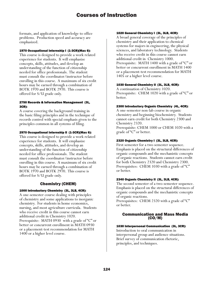formats, and application of knowledge to office problems. Production speed and accuracy are emphasized.

#### 1970 Occupational Internship I (1-3CR)(Max 6):

This course is designed to provide a work related experience for students. It will emphasize concepts, skills, attitudes, and develop an understanding of the function of citizenship needed for office professionals. The student must consult the coordinator/instructor before enrolling in this course. A maximum of six credit hours may be earned through a combination of BOTK 1970 and BOTK 2970. This course is offered for S/U grade only.

#### 2750 Records & Information Management (3L, 3CR):

A course covering the background training in the basic filing principles and in the technique of records control with special emphasis given to the principles common in all systems of filing.

## 2970 Occupational Internship II (1-3CR)(Max 6):

This course is designed to provide a work related experience for students. It will emphasize concepts, skills, attitudes, and develop an understanding of the function of citizenship needed for office professionals. The student must consult the coordinator/instructor before enrolling in this course. A maximum of six credit hours may be earned through a combination of BOTK 1970 and BOTK 2970. This course is offered for S/U grade only.

# Chemistry (CHEM)

## 1000 Introductory Chemistry (3L, 3LB, 4CR):

A one-semester course dealing with principles of chemistry and some applications to inorganic chemistry. For students in home economics, nursing, and most agriculture curricula. Students who receive credit in this course cannot earn additional credit in Chemistry 1020. Prerequisite: MATH 0930 with a grade of "C" or better or concurrent enrollment in MATH 0930 or a placement-test recommendation for MATH 1400 or a higher level course.

## 1020 General Chemistry I (3L, 3LB, 4CR):

A broad general coverage of the principles of chemistry and their application to chemical systems for majors in engineering, the physical sciences, and laboratory technology. Students who receive credit in this course cannot earn additional credit in Chemistry 1000. Prerequisite: MATH 1400 with a grade of "C" or better or concurrent enrollment in MATH 1400 or a placement-test recommendation for MATH 1405 or a higher level course.

## 1030 General Chemistry II (3L, 3LB, 4CR):

A continuation of Chemistry 1020. Prerequisite: CHEM 1020 with a grade of "C" or better.

## 2300 Introductory Organic Chemistry (4L, 4CR):

A one-semester non-lab course in organic chemistry and beginning biochemistry. Students cannot earn credit for both Chemistry 2300 and Chemistry 2320.

Prerequisite: CHEM 1000 or CHEM 1020 with a grade of "C" or better.

## 2320 Organic Chemistry I (3L, 3LB, 4CR):

First semester for a two semester sequence. Emphasis is placed on the structural differences of organic compounds and the mechanistic concepts of organic reactions. Students cannot earn credit for both Chemistry 2320 and Chemistry 2300. Prerequisites: CHEM 1030 with a grade of "C" or better.

## 2340 Organic Chemistry II (3L, 3LB, 4CR):

The second semester of a two-semester sequence. Emphasis is placed on the structural differences of organic compounds and the mechanistic concepts of organic reactions.

Prerequisites: CHEM 2320 with a grade of "C" or better.

# Communication and Mass Media (CO/M)

## 1030 Interpersonal Communication (3L, 3CR):

Introduction to oral communication in interpersonal group and audience situations. Brief survey of communication rhetoric, principles, and techniques.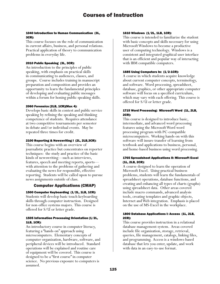## 1040 Introduction to Human Communication (3L, 3CR):

This course focuses on the role of communication in current affairs, business, and personal relations. Practical application of theory to communication problems in everyday life.

## 2010 Public Speaking (3L, 3CR):

An introduction to the principles of public speaking, with emphasis on practical skills in communicating to audiences, classes, and groups. Course includes training in manuscript preparation and composition and provides an opportunity to learn the fundamental principles of developing and evaluating public messages within a forum for honing public speaking skills.

#### 2060 Forensics (2LB, 1CR)(Max 4):

Develops basic skills in contest and public service speaking by refining the speaking and thinking competence of students. Requires attendance at two competitive tournaments per semester in debate and/or individual events. May be repeated three times for credit.

#### 2100 Reporting & Newswriting I (2L, 2LB,3CR):

This course begins with an overview of journalistic practice but concentrates on reporter techniques: the study and practice of the basic kinds of newswriting—such as interviews, features, speech and meeting reports, sports with attention to the problems of gathering and evaluating the news for responsible, effective reporting. Students will be called upon to pursue news assignments outside of class.

# Computer Applications (CMAP)

## 1500 Computer Keyboarding (1/2L, 1LB, 1CR):

Students will develop basic touch keyboarding skills through computer instruction. Designed for non-office systems majors. This course is offered for S/U or letter grade.

#### 1505 Information Processing Orientation (1/2L, 1LB, 1CR):

An introductory course in computer literacy, featuring a "hands-on" approach using microcomputers. Elementary concepts of computer organization, hardware, software, and peripheral devices will be introduced. Standard operations will be explained and routine care of equipment will be covered. This course is designed to be a "first course" in computer science. No previous exposure to computers is assumed.

#### 1610 Windows (1/2L, 1LB, 1CR):

This course is intended to familiarize the student with basic concepts and skills necessary for using Microsoft Windows to become a productive user of computing technology. Windows is a consistent and integrated graphical user interface that is an efficient and popular way of interacting with IBM compatible computers.

#### 1685 Using Computers In: (1/2-1CR):

A course in which students acquire knowledge about current computer concepts, terminology, and software. Word processing, spreadsheet, database, graphics, or other appropriate computer software will focus on a specified curriculum, which may vary with each offering. This course is offered for S/U or letter grade.

## 1715 Word Processing: Microsoft Word (1L, 2LB, 2CR):

This course is designed to introduce basic, intermediate, and advanced word processing features using the Microsoft Word word processing program with PC-compatible microcomputers. Working hands-on with this software will insure transfer of learning from textbook and applications to business, personal, and home-based business using word processing.

## 1765 Spreadsheet Applications II: Microsoft Excel (1L, 2LB, 2CR):

A course designed to learn the operation of Microsoft Excel. Using practical business problems, students will learn the fundamentals of spreadsheet operations, database functions, and creating and enhancing all types of charts (graphs) using spreadsheet data. Other areas covered include macro commands, advanced analysis tools, creating templates and graphic objects, Internet and Web integration. Emphasis is placed on the use of MS-Excel in the workplace.

#### 1800 Database Applications I: Access (1L, 2LB, 2CR):

This course provides instruction in a relational database management system. Areas covered include file organization, storage, retrieval, queries, file management, catalogs, linking files, and programming. Access is a windows-based database that lets you enter, update, and work with data in an easy-to-use format.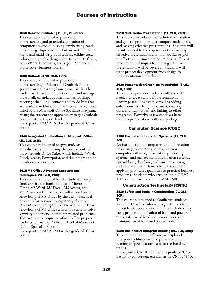#### 1850 Desktop Publishing I: (2L, 2LB,3CR):

This course is designed to provide an understanding and practical application of computer desktop publishing emphasizing handson learning. Topics include but are not limited to single and multi-page publications, editing text, colors, and graphic design objects to create flyers, newsletters, brochures, and logos. Additional topics cover business forms.

#### 1886 Outlook (1/2L, 1LB, 1CR):

This course is designed to provide an understanding of Microsoft's Outlook and is geared toward learning basic e-mail skills. The student will learn how to work with and manage the e-mail, calendar, appointment scheduling, meeting scheduling, contacts and to-do lists that are available in Outlook. It will cover every topic listed by the Microsoft Office Specialist Program, giving the student the opportunity to get Outlook certified at the Expert level.

Prerequisite: CMAP 1610 with a grade of "C" or better.

## 1900 Integrated Applications I: Microsoft Office (1L, 2LB, 2CR):

This course is designed to give students introductory skills in using the components of the Microsoft Office Suite, which include: Word, Excel, Access, Powerpoint, and the integration of the above components.

#### 1915 MS Office-Advanced Concepts and Techniques (1L, 2LB, 2CR):

This course is designed for the student already familiar with the fundamentals of Microsoft Office-MS Word, MS Excel, MS Access, and MS PowerPoint. The course will extend basic knowledge of MS Office by the use of practical problems for personal computer applications. Students completing this course will have a firm knowledge of MS Office and will be able to solve a variety of personal computer-related problems. The two-course sequence of MS Office prepares students to pass the Proficient level of Microsoft Office Specialist Exam.

Prerequisite: CMAP 1900 with a grade of "C" or better.

#### 2510 Multimedia Presentation (1L, 2LB, 2CR):

This course introduces the technical foundation and general principles that compose multimedia and making effective presentations. Students will be introduced to the requirements of making effective presentations and with special regard to effective multimedia productions. Different production techniques for making effective presentations will be covered. Students will trace project development from design to implementation and delivery.

## 2630 Presentation Graphics: PowerPoint (1/2L, 1LB, 1CR):

This course provides students with the skills needed to create and edit presentations. Coverage includes basics as well as adding enhancements, changing formats, creating different graph types, and linking to other programs. PowerPoint is a windows-based business presentations software package.

# Computer Science (COSC)

## 1200 Computer Information Systems (2L, 2LB, 3CR):

An introduction to computers and information processing, computer systems, hardware, computer software, information processing systems, and management information systems. Spreadsheet, data base, and word processing software are used extensively by the student in applying program capabilities to practical business problems. Students who earn credit in COSC 1200 cannot earn credit in CMAP 1900.

# Construction Technology (CNTK)

#### 1510 Safety and Tools in Construction (2L, 2LB, 3CR):

This course is designed to familiarize students with OSHA safety rules and regulations related to residential construction. Topics include safety laws, proper identification of hand and power tools, safe use of hand and power tools, and maintenance of hand and power tools.

## 1520 Residential Blueprint Reading (2L, 2LB, 3CR):

This course is a study of basic principles of interpreting blueprints and plans along with reading of specifications basic to the building trades.

Prerequisite: CNTK 1510 with a grade of "C" or better, or concurrent enrollment in CNTK 1510.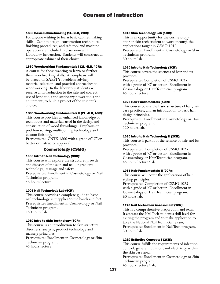#### 1630 Basic Cabinetmaking (1L, 2LB, 2CR):

For anyone wishing to learn basic cabinet making skills. Cabinet design, construction techniques, finishing procedures, and safe tool and machine operation are included in classroom and laboratory instruction. Students will construct an appropriate cabinet of their choice.

## 1860 Woodworking Fundamentals I (2L, 4LB, 4CR):

A course for those wanting to learn or further their woodworking skills. An emphasis will be placed on **SAFETY**, problem solving, material selection, and practical approaches to woodworking. In the laboratory students will receive an introduction to the safe and correct use of hand tools and stationary power tools and equipment, to build a project of the student's choice.

# 1865 Woodworking Fundamentals II (2L, 4LB, 4CR):

This course provides an enhanced knowledge of techniques and materials used in the design and construction of wood furnishings. Emphasis on problem solving, multi-joining technology and custom finishing.

Prerequisite: CNTK 1860 with a grade of "C" or better or instructor approval.

# Cosmetology (CSMO)

## 1000 Intro to Nail Technology (3CR):

This course will explore the structure, growth and diseases of the skin and nail, ingredient technology, its usage and safety. Prerequisite: Enrollment in Cosmetology or Nail Technician program. 45 hours lecture.

## 1005 Nail Technology Lab (5CR):

This course provides a complete guide to basic nail technology as it applies to the hands and feet. Prerequisite: Enrollment in Cosmetology or Nail Technician program. 150 hours lab.

## 1010 Intro to Skin Technology (3CR):

This course is an introduction to skin structure, disorders, analysis, product technology and massage principles. Prerequisite: Enrollment in Cosmetology or Skin Technician program. 45 hours lecture.

#### 1015 Skin Technology Lab (1CR):

This is an opportunity for the cosmetology and/or skin tech student to work through the applications taught in CSMO 1010. Prerequisite: Enrollment in Cosmetology or Skin Technician program. 30 hours lab.

#### 1020 Intro to Hair Technology (3CR):

This course covers the sciences of hair and its practices. Prerequisite: Completion of CSMO 1025 with a grade of "C" or better. Enrollment in Cosmetology or Hair Technician program.

45 hours lecture.

## 1025 Hair Fundamentals (4CR):

This course covers the basic structure of hair, hair care practices, and an introduction to basic hair design principles. Prerequisite: Enrollment in Cosmetology or Hair Technician program. 120 hours lab.

## 1030 Intro to Hair Technology II (2CR):

This course is part II of the science of hair and its practices.

Prerequisite: Completion of CSMO 1025 with a grade of "C" or better. Enrollment in Cosmetology or Hair Technician program. 45 hours lecture/lab.

## 1035 Hair Fundamentals II (2CR):

This course will cover the applications of hair styling principles. Prerequisite: Completion of CSMO 1025 with a grade of "C" or better. Enrollment in Cosmetology or Hair Technician program. 60 hours lab.

## 1175 Nail Technician Assessment (1CR):

This is a comprehensive preparation and exam. It assesses the Nail Tech student's skill level for exiting the program and to make application to take the National Nail Technician exam. Prerequisite: Enrollment in Nail Tech program. 30 hours lab.

## 1210 Esthetics Concepts I (2CR):

This course fulfills the requirements of infection control, general nutrition, and electricity within the skin care area.

Prerequisite: Enrollment in Cosmetology or Skin Technician program.

45 hours lecture/lab.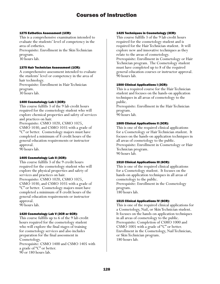#### 1275 Esthetics Assessment (1CR):

This is a comprehensive examination intended to evaluate the students' level of competency in the area of esthetics.

Prerequisite: Enrollment in the Skin Technician program.

30 hours lab.

## 1375 Hair Technician Assessment (1CR):

A comprehensive assessment intended to evaluate the students' level or competency in the area of hair technology.

Prerequisite: Enrollment in Hair Technician program.

30 hours lab.

## 1400 Cosmetology Lab I (3CR):

This course fulfills 3 of the 9 lab credit hours required for the cosmetology student who will explore chemical properties and safety of services and practices on hair.

Prerequisite: CSMO 1020, CSMO 1025, CSMO 1030, and CSMO 1035 with a grade of "C" or better. Cosmetology majors must have completed a minimum of 8 credit hours of the general education requirements or instructor approval.

90 hours lab.

## 1405 Cosmetology Lab II (3CR):

This course fulfills 3 of the 9 credit hours required for the cosmetology student who will explore the physical properties and safety of services and practices on hair. Prerequisite: CSMO 1020, CSMO 1025, CSMO 1030, and CSMO 1035 with a grade of "C" or better. Cosmetology majors must have completed a minimum of 8 credit hours of the general education requirements or instructor approval.

90 hours lab.

## 1420 Cosmetology Lab V (3CR or 6CR):

This course fulfills up to 6 of the 9 lab credit hours required for the cosmetology student who will explore the final stages of training for cosmetology services and also includes preparation for the final assessment in Cosmetology. Prerequisite: CSMO 1400 and CSMO 1405 with a grade of "C" or better.

90 or 180 hours lab.

#### 1425 Techniques in Cosmetology (3CR):

This course fulfills 3 of the 9 lab credit hours required for the cosmetology student and is required for the Hair Technician student. It will explore new and innovative techniques as they relate to the areas of cosmetology. Prerequisite: Enrollment in Cosmetology or Hair Technician program. The Cosmetology student must have completed up to 8 of the required general education courses or instructor approval. 90 hours lab.

## 1500 Clinical Applications I (3CR):

This is a required course for the Hair Technician student and focuses on the hands-on application techniques in all areas of cosmetology to the public.

Prerequisite: Enrollment in the Hair Technician program.

90 hours lab.

# 1505 Clinical Applications II (3CR):

This is one of the required clinical applications for a Cosmetology or Hair Technician student. It focuses on the hands-on application techniques in all areas of cosmetology to the public. Prerequisite: Enrollment in Cosmetology or Hair Technician program. 90 hours lab.

## 1510 Clinical Applications III (6CR):

This is one of the required clinical applications for a Cosmetology student. It focuses on the hands-on application techniques in all areas of cosmetology to the public. Prerequisite: Enrollment in the Cosmetology program. 180 hours lab.

## 1515 Clinical Applications IV (6CR):

This is one of the required clinical applications for a Cosmetology, Nail, or Skin Technician student. It focuses on the hands-on application techniques in all areas of cosmetology to the public. Prerequisite: Completion of CSMO 1000 and CSMO 1005 with a grade of "C" or better. Enrollment in the Cosmetology, Nail Technician, or Skin Technician program. 180 hours lab.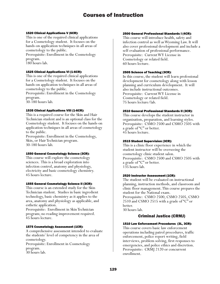#### 1520 Clinical Applications V (6CR):

This is one of the required clinical applications for a Cosmetology student. It focuses on the hands-on application techniques in all areas of cosmetology to the public. Prerequisite: Enrollment in the Cosmetology program.

180 hours lab.

#### 1525 Clinical Applications VI (1-6CR):

This is one of the required clinical applications for a Cosmetology student. It focuses on the hands-on application techniques in all areas of cosmetology to the public.

Prerequisite: Enrollment in the Cosmetology program.

30-180 hours lab.

#### 1535 Clinical Applications VIII (1-6CR):

This is a required course for the Skin and Hair Technician student and is an optional class for the Cosmetology student. It focuses on the hands-on application techniques in all areas of cosmetology to the public.

Prerequisite: Enrollment in the Cosmetology, Skin, or Hair Technician program. 30-180 hours lab.

## 1550 General Cosmetology Science (3CR):

This course will explore the cosmetology sciences. This is a broad exploration into infection control, anatomy and physiology, electricity and basic cosmetology chemistry. 45 hours lecture.

## 1555 General Cosmetology Science II (3CR):

This course is an extended study for the Skin Technician student. Studies in basic ingredient technology, basic chemistry as it applies to the area, anatomy and physiology as applicable, and esthetic application.

Prerequisite: Enrollment in Skin Technician program; no reading improvement required. 45 hours lecture.

## 1575 Cosmetology Assessment (1CR):

A comprehensive assessment intended to evaluate the students' level of competency in the area of cosmetology.

Prerequisite: Enrollment in Cosmetology program. 30 hours lab.

#### 2500 General Professional Standards I (4CR):

This course will introduce health, safety and infection control as well as Wyoming Law. It will also cover professional development and include a self-evaluation of professional performance. Prerequisite: Current WY License in Cosmetology or related field. 60 hours lecture.

#### 2505 Science of Teaching (3CR):

In this course, the student will learn professional development for cosmetology along with lesson planning and curriculum development. It will also include instructional outcomes. Prerequisite: Current WY License in Cosmetology or related field. 75 hours lecture/lab.

#### 2510 General Professional Standards II (3CR):

This course develops the student instructor in organization, preparation, and learning styles. Prerequisite: CSMO 2500 and CSMO 2505 with a grade of "C" or better. 45 hours lecture.

#### 2515 Student Supervision (3CR):

This is a clinic floor experience in which the student instructor will be overseeing the cosmetology clinic student salon. Prerequisite: CSMO 2500 and CSMO 2505 with a grade of "C" or better. 135 hours lab.

#### 2520 Instructor Assessment (1CR):

The student will be evaluated on instructional planning, instruction methods, and classroom and clinic floor management. This course prepares the student for the National exam. Prerequisite: CSMO 2500, CSMO 2505, CSMO 2510 and CSMO 2515 with a grade of "C" or better.

30 hours lab.

# Criminal Justice (CRMJ)

## 1510 Law Enforcement Procedures (3L, 3CR):

This course covers basic law enforcement operations including patrol procedures, traffic enforcement, police report writing, field interviews, problem solving, first responses to emergencies, and police ethics and discretion. Prerequisite: CRMJ 2120 or concurrent enrollment.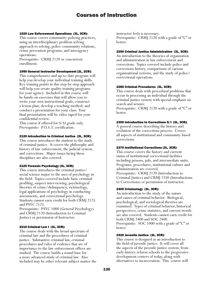#### 1520 Law Enforcement Operations (3L, 3CR):

This course covers community policing practices, using an interdisciplinary problem solving approach to solving, police-community relations, crime prevention programs, and interagency operations.

Prerequisite: CRMJ 2120 or concurrent enrollment.

#### 1950 General Instructor Development (2L, 2CR):

This comprehensive and up-to-date program will help you develop your individual training skills. Key training points in this step-by-step approach will help you create quality training programs for your agency. Included in this course will be hands-on exercises that will allow you to write your own instructional goals, construct a lesson plan, develop a teaching method, and conduct a presentation for your class. Your final presentation will be video taped for your confidential review.

This course if offered for S/U grade only. Prerequisite: P.O.S.T. certification.

#### 2120 Introduction to Criminal Justice (3L, 3CR):

This course introduces the student to the study of criminal justice. It covers the philosophy and history of law enforcement, the judicial system, and corrections. Major issues facing these disciplines are also covered.

## 2125 Forensic Psychology (3L, 3CR):

This course introduces the criminal justice/ social science major to the uses of psychology in the field. Topics covered include basic criminal profiling, suspect interviewing, psychological theories of crime/delinquency, victimology, legal applications of psychology in conducting assessments, and correctional psychology. Students cannot earn credit for both CRMJ 2125 and PSYC 2125.

Prerequisite: PSYC 1000 (General Psychology) and CRMJ 2120 (Introduction to Criminal Justice) or permission of Instructor.

#### 2210 Criminal Law I (3L, 3CR):

The course deals with the broad spectrum of criminal law and the procedures of criminal justice. Substantive criminal law, criminal procedures and rules of evidence that are of importance to the law enforcement officer are studied. The course builds a sound base for a more advanced study of criminal law. Also included may be other relevant subject matter the instructor feels is necessary. Prerequisite: CRMJ 2120 with a grade of "C" or better.

#### 2250 Criminal Justice Administration (3L, 3CR):

An introduction to the theories of organization and administration in law enforcement and corrections. Topics covered include police and corrections history, comparisons of various organizational systems, and the study of police/ correctional operations.

#### 2280 Criminal Procedures (3L, 3CR):

This course deals with procedural problems that occur in processing an individual through the criminal justice system with special emphasis on search and seizure.

Prerequisite: CRMJ 2120 with a grade of "C" or better.

#### 2350 Introduction to Corrections II/I (3L, 3CR):

A general course describing the history and evolution of the corrections process. Covers all aspects of institutional and community based corrections.

#### 2370 Institutional Corrections (3L, 3CR):

This course covers the history and current status of institutional correctional facilities including prisons, jails, and intermediate units. Programs, procedures, institutional culture and administration are covered. Prerequisite: CRMJ 2120 (Introduction to Criminal Justice) and CRMJ 2350 (Introductions to Corrections) or permission of instructor.

## 2400 Criminology (3L, 3CR):

An introduction to the study of the nature and causes of criminal behavior. Biological, psychological, and sociological theories are examined. Types of criminal behavior, historical perspectives, crime statistics, and current trends are also covered. Students cannot earn credit for both CRMJ 2400 and SOC 2400. Prerequisite: SOC 1000 with a grade of "C" or better.

#### 2420 Juvenile Justice (3L, 3CR):

This course is designed as an introduction to the field of juvenile justice. It will cover all the aspects of the juvenile justice system, from early history reform schools to the progressive development centers of today, along with alternatives to incarceration. This course will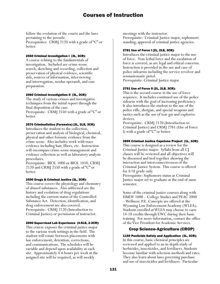follow the evolution of the courts and the laws pertaining to the juvenile. Prerequisites: CRMJ 2120 with a grade of "C" or better.

## 2550 Criminal Investigation I (3L, 3CR):

A course relating to the fundamentals of investigation. Included are crime scene search, sketching and recording, collection and preservation of physical evidence, scientific aids, sources of information, interviewing and interrogation, modus operandi, and case preparation.

#### 2560 Criminal Investigation II (3L, 3CR):

The study of various crimes and investigative techniques from the initial report through the final disposition of the case.

Prerequisite: CRMJ 2550 with a grade of "C" or better.

#### 2570 Criminalistics (Forensics) (2L, 2LB, 3CR):

Introduces the student to the collection, preservation and analysis of biological, chemical, physical and other forensic evidence from the crime scene. Also includes work with trace evidence including hair, fibers, etc. Instruction will encompass crime scene management and evidence collection as well as laboratory analysis procedures.

Prerequisite: BIOL 1000 or BIOL 1010, CRMJ 2120 and CRMJ 2550 with a grade of "C" or better.

#### 2590 Drugs & Criminal Justice (3L, 3CR):

This course covers the physiology and chemistry of abused substances. Also addressed are the history and evolution of drug regulations including the current status of the Controlled Substance Act. Detection, identification, and drug enforcement are also covered. Prerequisite: CRMJ 2120 (Introduction to Criminal Justice) or permission of instructor.

#### 2690 Supervised Lab Experience (4-6LB, 2-3CR):

This course exposes the criminal justice major to the various work settings in the field. The student will rotate between placements with law enforcement, detention, corrections, and communications. The schedules will be variable and depend upon availability at each site. Approximately 4-6 hours per week at the assigned site will be required, as will weekly

meetings with the instructor.

Prerequisite: Criminal Justice major, sophomore standing, approval of criminal justice agencies.

#### 2781 Use of Force I (2L, 2LB, 3CR):

Introduces the criminal justice major to the use of force. Non-lethal force and the escalation of force is covered, as are legal and ethical concerns. Instruction is provided in the use and care of police sidearms including the service revolver and semiautomatic pistol.

Prerequisite: Criminal Justice major.

## 2791 Use of Force II (2L, 2LB, 3CR):

This is the second course in the use of force sequence. It includes continued use of the police sidearm with the goal of increasing proficiency. It also introduces the student to the use of the police rifle, shotgun, and special weapons and tactics such as the use of tear gas and explosive devices.

Prerequisite: CRMJ 2120 (Introduction to Criminal Justice) and CRMJ 2781 (Use of Force I) with a grade of "C" or better.

## 2895 Criminal Justice Capstone Project (1L, 1CR):

This course is designed as a review for the Criminal Justice major. Syllabi from all CJ classes will be reviewed and all objectives will be discussed and tied together showing the interaction and interconnectiveness of the Criminal Justice System. This course is offered for S/U grade only.

Prerequisite: Sophomore status as Criminal Justice major set to graduate at the end of same semester.

Some of the criminal justice courses along with HMDV 1000 – College Studies and PEAC 2000 – Wellness: P.E. Concepts are offered at the Wyoming Law Enforcement Academy (WLEA). Students enrolled at WLEA may choose to earn 14-18 credits through EWC during their basic training. For more information, contact the office of the Vice President for Academic Services.

# Crop Science-Agriculture (CROP)

1150 Pesticide Safety and Application (3L, 3CR): In this course, basic chemical principles are reviewed and applied to an in-depth study of herbicides, insecticides, and fertilizers. Students become familiar with selection methods and rates. They also learn about laws governing purchase and use of insecticides and fertilizers. Particular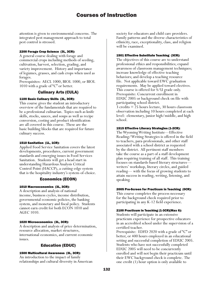attention is given to environmental concerns. The integrated pest management approach to total pest control is stressed.

#### 2200 Forage Crop Science (3L, 3CR):

A general course dealing with forage and commercial crops including methods of seeding, cultivation, harvest, selection, grading, and variety improvement. History and importance of legumes, grasses, and cash crops when used as forages.

Prerequisites: AECL 1000, BIOL 1000, or BIOL 1010 with a grade of "C" or better.

# Culinary Arts (CULA)

#### 1100 Basic Culinary Skills (3L, 3CR):

This course gives the student an introductory overview of the fundamentals that are required to be a professional culinarian. Topics such as knife skills, stocks, sauces, and soups as well as recipe conversion, costing and product identification are all covered in this course. These are the basic building blocks that are required for future culinary success.

#### 1510 Sanitation (1L, 1CR):

Applied Food Service Sanitation covers the latest developments, procedures, current government standards and emerging issues in Food Services Sanitation. Students will get a head start in understanding Hazardous Analysis Critical Control Point (HACCP), a cutting-edge system that is the hospitality industry's system-of-choice.

# Economics (ECON)

## 1010 Macroeconomics (3L, 3CR):

A description and analysis of national income, business cycles, income distribution, governmental economic policies, the banking system, and monetary and fiscal policy. Students cannot earn credit for both ECON 1010 and AGEC 1010.

## 1020 Microeconomics (3L, 3CR):

A description and analysis of price determination, resource allocation, market structures, international economics, and current economic issues.

# Education (EDUC)

## 1500 Multicultural Awareness (3L, 3CR):

An introduction to the impact of family relationships and cultural diversity in American society for educators and child care providers. Family patterns and the diverse characteristics of ethnicity, race, exceptionality, class, and religion will be examined.

#### 1501 Effective Substitute Teaching (3CR):

The objectives of this course are to understand professional ethics and responsibilities; expand awareness of classroom management techniques; increase knowledge of effective teaching behaviors; and develop a teaching resource file. Not applicable toward EWC graduation requirements. May be applied toward electives. This course is offered for S/U grade only. Prerequisite: Concurrent enrollment in EDUC 2005 or background check on file with participating school district.

 $3 \text{ credits} = 25 \text{ hours}$  lecture,  $30 \text{ hours}$  classroom observation including 10 hours completed at each level: elementary, junior high/middle, and high school.

#### 1515 Effective Literary Strategies (1-2CR):

The Wyoming Writing Institute––Effective Reading/Writing Strategies is offered in the field to teachers, para-professionals, and other staff associated with a school district as requested by the district. All pertinent staff members take the course as a part of a staff development plan requiring training of all staff. This training focuses on standards-based literary structures–– writers' workshop, literary circles, and guided reading–– with the focus of growing students to attain success in reading, writing, listening, and speaking.

## 2005 Pre-Screen for Practicum in Teaching (0CR):

This course completes the process necessary for the background check required prior to participating in any K-12 field experience.

#### 2100 Practicum in Teaching (1-3CR)(Max 6):

Students will participate in an extensive practicum experience for prospective educators in an accredited school under the supervision of a certified teacher.

Prerequisite: EDFD 2020 with a grade of "C" or better, or 400 hours employed in an educational setting and successful completion of EDUC 2005. Students who have not successfully completed EDUC 2005 will need to be concurrently enrolled and will not begin their practicum until their EWC background check is complete. The one credit (1) hour option is only available to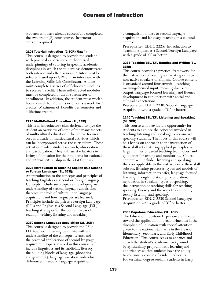students who have already successfully completed the two credit (2) hour course. Instructor consent required.

#### 2105 Tutorial Instruction (2-3CR)(Max 4):

This course is designed to provide the student with practical experience and theoretical underpinnings of tutoring in specific academic disciplines in which the student has demonstrated both interest and effectiveness. A tutor must be selected based upon GPA and an interview with the Learning Skills Lab Coordinator. A tutor must complete a series of self-directed modules to receive 1 credit. These self-directed modules must be completed in the first semester of enrollment. In addition, the student must work 4 hours a week for 2 credits or 6 hours a week for 3 credits. Maximum of 3 credits per semester and 4 lifetime credits.

#### 2220 Multi-Cultural Education (1L, 1CR):

This is an introductory class designed to give the student an overview of some of the many aspects of multicultural education. The course focuses on a multitude of multicultural activities which can be incorporated across the curriculum. These activities involve student research, observation, and participation. They will assist educators in laying a foundation for their students for national and internal citizenship in the 21st Century.

#### 2225 Introduction to Teaching English as a Second or Foreign Language (3L, 3CR):

An introduction to the concepts and principles of teaching English as a second or foreign language. Concepts include such topics as developing an understanding of second language acquisition theories, the role of culture upon language acquisition, and how languages are learned. Principles include English as a Foreign Language (EFL) and English as a Second Language (ESL) teaching strategies for the content areas of reading, writing, listening and speaking.

## 2230 Second Language Acquisition (3L, 3CR):

This course is designed to provide the ESL/ EFL teacher in training candidate with an understanding of the concepts, terms, and the practical applications of second language acquisition. Topics covered in this course will include linguistics and its subfields, literacy, the building blocks of language (phonetics and grammer), language variation, individual differences in second language acquisition,

a comparison of first to second language acquisition, and language teaching in a cultural context.

Prerequisite: EDUC 2225: Introduction to Teaching English as a Second/Foreign Language with a grade of "C" or better.

#### 2235 Teaching ESL/EFL Reading and Writing (3L, 3CR):

This course provides a practical framework for the instruction of reading and writing skills to non-native speakers of English. Course content is organized around four strands – teaching meaning-focused input, meaning-focused output, language-focused learning, and fluency development in conjunction with social and cultural expectations.

Prerequisite: EDUC 2230: Second Language Acquisition with a grade of "C" or better.

#### 2240 Teaching ESL/EFL Listening and Speaking (3L, 3CR):

This course will provide the opportunity for students to explore the concepts involved in teaching listening and speaking to non-native speaking students. The focus of this course will be a hands-on approach to the instruction of these skill sets featuring applied principles, a large number of useful teaching techniques, and guidelines for testing and monitoring. Course content will include: listening and speaking theories applicable to the instruction of these skill subsets, listening processes, types and models of listening, information transfer, language focused learning through dictation, pronunciation, negotiation in speaking, types of speaking, the instruction of teaching skills for teaching speaking, fluency and the ways to develop it, testing listening and speaking. Prerequisite: EDUC 2230 Second Language Acquisition with a grade of "C" or better.

## 2800 Capstone: Education (1L, 1CR):

The Education Capstone Experience is directed toward the application of broad principles in the discipline of Education with special attention given to the national standards in the areas of Elementary, Secondary, and Early Childhood Education. This course seeks to enhance and enrich the student's academic background by synthesizing programmatic learning and experiences so that students have the ability to continue a course of study in education. For terminal degree seeking students in Early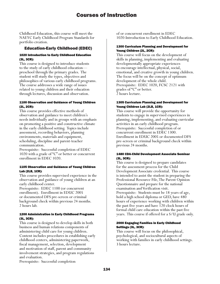Childhood Education, this course will meet the NAEYC Early Childhood Program Standards for portfolio creation.

# Education-Early Childhood (EDEC)

#### 1020 Introduction to Early Childhood Education (3L, 3CR):

This course is designed to introduce students to the study of early childhood education preschool through the primary grades. The student will study the types, objectives and philosophies of various early childhood programs. The course addresses a wide range of issues related to young children and their education through lectures, discussion and observation.

#### 1100 Observation and Guidance of Young Children (2L, 2CR):

This course provides effective methods of observation and guidance to meet children's needs individually and in groups with an emphasis on promoting a positive and constructive climate in the early childhood setting. Topics include assessment, recording behaviors, planning environments, materials and equipment, scheduling, discipline and parent-teacher communication.

Prerequisite: Successful completion of EDEC 1020 with a grade of "C" or better or concurrent enrollment in EDEC 1020.

#### 1105 Observation and Guidance of Young Children Lab (2LB, 1CR):

This course provides supervised experience in the observation and guidance of young children at an early childhood center.

Prerequisite: EDEC 1100 (or concurrent enrollment). Enrollment in EDUC 2005 or documented DFS pre-screen or criminal background check within previous 24 months. 2 hours lab.

## 1200 Administration in Early Childhood Programs (3L, 3CR):

This course is designed to develop skills in both business and human relations components of administering child care for young children. Content includes procedures in establishing early childhood centers, administering paperwork, fiscal management, selection, development and motivation of staff, parent and community involvement strategies, and program regulations and evaluation.

Prerequisite: Successful completion

of or concurrent enrollment in EDEC 1020-Introduction to Early Childhood Education.

#### 1300 Curriculum Planning and Development for Young Children (2L, 2CR):

This course will focus on the development of skills in planning, implementing and evaluating developmentally appropriate experiences to encourage intellectual, physical, social, emotional, and creative growth in young children. The focus will be on the concept of optimum development of the whole child. Prerequisite: EDEC 1020, FCSC 2121 with grades of "C" or better. 2 hours lecture.

#### 1305 Curriculum Planning and Development for Young Children Lab (2LB, 1CR):

This course will provide the opportunity for students to engage in supervised experiences in planning, implementing, and evaluating curricular activities in an early childhood program. Prerequisite: Successful completion of or concurrent enrollment in EDEC 1300. Enrollment in EDUC 2005 or documented DFS pre-screen or criminal background check within previous 24 months.

## 1480 CDA-Child Development Associate Seminar (3L, 3CR):

This course is designed to prepare candidates for the assessment process for the Child Development Associate credential. This course is intended to assist the student in preparing the Professional Resource File, The Parent Opinion Questionnaire and prepare for the national examination and Verification visit. Prerequisite: Students must be 18 years of age, hold a high school diploma or GED, have 480 hours of experience working with children within the past five years and have 120 clock hours of formal child care education within the past five years. This course if offered for a S/U grade only.

## 2000 Engaging Families in Early Childhood Settings (3L, 3CR):

This course will focus on the philosophical, psychological, and sociocultural aspects of working with families in early childhood settings. 3 hours lecture.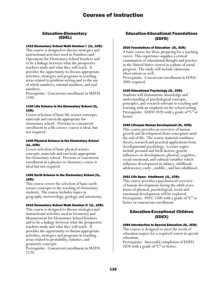# Education-Elementary (EDEL)

## 1410 Elementary School Math Seminar I (1L, 1CR):

This course is designed to discuss strategies and instructional activities used in Numbers and Operations for Elementary School Teachers and to be a linkage between what the prospective teachers study and what they will teach. It provides the opportunity to discuss appropriate activities, strategies and programs in teaching areas related to problem solving and to the use of whole numbers, rational numbers, and real numbers.

Prerequisite: Concurrent enrollment in MATH 1100.

#### 1430 Life Science in the Elementary School (1L, 1CR):

Covers selection of basic life science concepts, materials and curricula appropriate for elementary school. Previous or concurrent enrollment in a life science course is ideal, but not required.

## 1440 Physical Science in the Elementary School (1L, 1CR):

Covers selection of basic physical science concepts, materials and curricula appropriate for elementary school. Previous or concurrent enrollment in a physics or chemistry course is ideal but not required.

## 1450 Earth Science in the Elementary School (1L, 1CR):

This course covers the selection of basic earth science concepts to the teaching of elementary students. The course includes topics in geography, meteorology, geology, and astronomy.

## 2410 Elementary School Math Seminar II (1L, 1CR):

This course is designed to discuss strategies and instructional activities used in Geometry and Measurement for Elementary School Teachers and to be a linkage between what the prospective teachers study and what they will teach. It provides the opportunity to discuss appropriate activities, strategies and programs in teaching areas related to probability, statistics, and geometric concepts.

Prerequisite: Concurrent enrollment in MATH 2120.

# Education-Educational Foundations (EDFD)

#### 2020 Foundations of Education (3L, 3CR):

A basic course for those preparing for a teaching career. This experience supplies a critical examination of educational thought and practice in the United States viewed as a phase of social progress. The study will include classroom observations as well.

Prerequisite: Concurrent enrollment in EDUC 2005 required.

## 2100 Educational Psychology (3L, 3CR):

Students will demonstrate knowledge and understanding of psychological concepts, principles, and research relevant to teaching and learning with an emphasis on the school setting. Prerequisite: EDFD 2020 with a grade of "C" or better.

#### 2450 Lifespan Human Development (3L, 3CR):

This course provides an overview of human growth and development from conception until the end of life. The course material combines theory, research and practical applications from developmental psychology. Lecture topics include prenatal and birth factors; genetic influences on development; physical, cognitive, social emotional, and cultural variables which influence development in infancy, childhood, adolescence, early-, middle-, and late adulthood.

#### 2451 Life Span: Adulthood (1L, 1CR):

This course provides a psychosocial overview of human development during the adult years. Issues of physical, psychological, social and emotional development will be explored. Prerequisite: PSYC 2300 with a grade of "C" or better or concurrent enrollment.

# Education-Exceptional Children (EDEX)

## 2484 Introduction to Special Education (3L, 3CR):

This course is designed to meet the needs of education majors for a required course in special education.

Prerequisite: Successful completion of EDFD 2020 with a grade of "C" or better.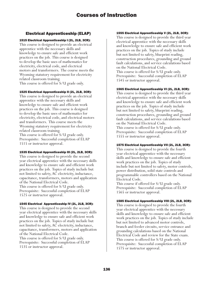# Electrical Apprenticeship (ELAP)

# 1515 Electrical Apprenticeship I (2L, 2LB, 3CR):

This course is designed to provide an electrical apprentice with the necessary skills and knowledge to ensure safe and efficient work practices on the job. This course is designed to develop the basic uses of mathematics for electricity, electrical code, and electrical motors and transformers. The course meets the Wyoming statutory requirement for electricity related classroom training. This course is offered for S/U grade only.

#### 1525 Electrical Apprenticeship II (2L, 2LB, 3CR):

This course is designed to provide an electrical apprentice with the necessary skills and knowledge to ensure safe and efficient work practices on the job. This course is designed to develop the basic uses of mathematics for electricity, electrical code, and electrical motors and transformers. This course meets the Wyoming statutory requirement for electricity related classroom training. This course is offered for S/U grade only. Prerequisite: Successful completion of ELAP 1515 or instructor approval.

## 1535 Electrical Apprenticeship III (2L, 2LB, 3CR):

This course is designed to provide the second year electrical apprentice with the necessary skills and knowledge to ensure safe and efficient work practices on the job. Topics of study include but not limited to safety, AC electricity, inductance, capacitance, transformers, motors and application of the National Electrical Code. This course is offered for S/U grade only. Prerequisite: Successful completion of ELAP 1525 or instructor approval.

#### 1545 Electrical Apprenticeship IV (2L, 2LB, 3CR):

This course is designed to provide the second year electrical apprentice with the necessary skills and knowledge to ensure safe and efficient work practices on the job. Topics of study include but not limited to safety, AC electricity, inductance, capacitance, transformers, motors and application of the National Electrical Code. This course is offered for S/U grade only. Prerequisite: Successful completion of ELAP 1535 or instructor approval.

#### 1555 Electrical Apprenticeship V (2L, 2LB, 3CR):

This course is designed to provide the third year electrical apprentice with the necessary skills and knowledge to ensure safe and efficient work practices on the job. Topics of study include but not limited to safety, blueprint reading, construction procedures, grounding and ground fault calculations, and service calculations based on the National Electrical Code. This course is offered for S/U grade only. Prerequisite: Successful completion of ELAP 1545 or instructor approval.

## 1565 Electrical Apprenticeship VI (2L, 2LB, 3CR):

This course is designed to provide the third year electrical apprentice with the necessary skills and knowledge to ensure safe and efficient work practices on the job. Topics of study include but not limited to safety, blueprint reading, construction procedures, grounding and ground fault calculations, and service calculations based on the National Electrical Code. This course is offered for S/U grade only. Prerequisite: Successful completion of ELAP 1555 or instructor approval.

## 1575 Electrical Apprenticeship VII (2L, 2LB, 3CR):

This course is designed to provide the fourth year electrical apprentice with the necessary skills and knowledge to ensure safe and efficient work practices on the job. Topics of study include but not limited to safety, motor controls, power distribution, solid state controls and programmable controllers based on the National Electrical Code.

This course if offered for S/U grade only. Prerequisite: Successful completion of ELAP 1565 or instructor approval.

## 1585 Electrical Apprenticeship VIII (2L, 2LB, 3CR):

This course is designed to provide the fourth year electrical apprentice with the necessary skills and knowledge to ensure safe and efficient work practices on the job. Topics of study include but not limited to advanced motor controls, branch and feeder circuits, service entrance and grounding calculations based on the National Electrical Code and review for the State exam. This course is offered for S/U grade only. Prerequisite: Successful completion of ELAP 1575 or instructor approval.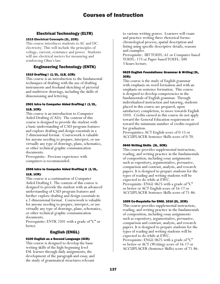# Electrical Technology (ELTR)

# 1515 Electrical Concepts (2L, 2CR):

This course introduces students to AC and DC electricity. This will include the principles of voltage, current, resistance and power. Students will use electrical meters for measuring and reinforcing Ohm's law.

# Engineering Technology (ENTK)

# 1510 Drafting I (1/2L, 1LB, 1CR):

This course is an introduction to the fundamental techniques of drafting with the use of drafting instruments and freehand sketching of pictorial and multiview drawings, including the skills of dimensioning and lettering.

# 2501 Intro to Computer Aided Drafting I (1/2L, 1LB, 1CR):

This course is an introduction to Computer Aided Drafting (CAD). The content of this course is designed to provide the student with a basic understanding of CAD program features and explore drafting and design essentials in a 2-dimensional format. Coursework is valuable for anyone needing to prepare, interpret, or use virtually any type of drawings, plans, schematics, or other technical graphic communication documents.

Prerequisite: Previous experience with computers is recommended.

# 2506 Intro to Computer Aided Drafting II (1/2L, 1LB, 1CR):

This course is a continuation of Computer Aided Drafting I. The content of this course is designed to provide the student with an advanced understanding of CAD program features and further explore drafting and design essentials in a 2-dimensional format. Coursework is valuable for anyone needing to prepare, interpret, or use virtually any type of drawings, plans, schematics, or other technical graphic communication documents.

Prerequisite: ENTK 2501 with a grade of "C" or better.

# English (ENGL)

# 0100 English as a Second Language (3CR):

This course is designed to develop the basic writing skills of the high-beginning level ESL learner through daily assignments, the development of the paragraph and essay, and the study of grammatical structures relevant

to various writing genres. Learners will exam and practice writing three rhetorical forms: chronological process, spatial description and listing using specific descriptive details, reasons and examples.

Prerequisite: IBT TOEFL: 61 or Computer-based TOEFL: 173 or Paper-based TOEFL: 500 3 hours lecture.

## 0625 English Foundations: Grammar & Writing (3L, 3CR):

This course is the study of English grammar with emphasis on word formation and with an emphasis on sentence formation. This course is designed to develop competencies in the fundamentals of English grammar. Through individualized instruction and tutoring, students placed in this course are prepared, upon satisfactory completion, to move towards English 1010. Credits earned in this course do not apply toward the General Education requirement or toward the minimum number of credits required for graduation.

Prerequisites: ACT English score of 0-15 or ACCUPLACER Sentence Skills score of 0-70.

# 0640 Writing Skills (3L, 3CR):

This course provides supplemental instruction, reading, and writing practice in the fundamentals of composition, including essay assignments such as expository, argumentative, persuasive, comparison and contrast, analysis, and research papers. It is designed to prepare students for the types of reading and writing students will be expected to do while at EWC. Prerequisite: ENGL 0625 with a grade of "C" or better or ACT English score of 16-17 or ACCUPLACER Sentence Skills score of 71-86.

## 1009 Co-Requisite for ENGL 1010 (2L, 2CR):

This course provides supplemental instruction, reading, and writing practice in the fundamentals of composition, including essay assignments such as expository, argumentative, persuasive, comparison and contrast, analysis, and research papers. It is designed to prepare students for the types of reading and writing students will be expected to do while at EWC. Prerequisite: ENGL 0625 with a grade of "C" or better or ACT (Writing) score of 16-17 or ACCUPLACER (Sentence Skills) score of 71-86.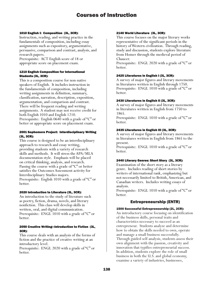#### 1010 English I: Composition (3L, 3CR):

Instruction, reading, and writing practice in the fundamentals of composition, including essay assignments such as expository, argumentative, persuasive, comparison and contrast, analysis, and research papers.

Prerequisite: ACT English score of 18 or appropriate score on placement exam.

## 1210 English Composition for International Students (3L, 3CR):

This is a composition course for non-native speakers of English. It includes instruction in the fundamentals of composition, including writing assignments in definition, summary, classification, narration, description, exposition, argumentation, and comparison and contrast. There will be frequent reading and writing assignments. A student may not receive credit for both English 1010 and English 1210. Prerequisite: English 0640 with a grade of "C" or better or appropriate score on placement exam.

## 2001 Sophomore Project: Interdisciplinary Writing (3L, 3CR):

This course is designed to be an interdisciplinary approach to research and essay writing, providing students with a variety of research skills and methods. It will stress the APA/MLA documentation style. Emphasis will be placed on critical thinking, analysis, and research. Passing the course with a grade of "C" or better satisfies the Outcomes Assessment activity for Interdisciplinary Studies majors. Prerequisite: English 1010 with a grade of "C" or better.

## 2020 Introduction to Literature (3L, 3CR):

An introduction to the study of literature such as poetry, fiction, drama, novels, and literary nonfiction. This class will develop skills in written, oral, and digital communication. Prerequisite: ENGL 1010 with a grade of "C" or better.

## 2050 Creative Writing—Introduction to Fiction (3L, 3CR):

This course deals with an analysis of the forms of fiction and the practice of creative writing at an introductory level.

Prerequisite: ENGL 2020 with a grade of "C" or better.

#### 2140 World Literature (3L, 3CR):

This course focuses on the major literary works representative of the significant periods in the history of Western civilization. Through reading, study and discussion, students explore literature from Homer through the medieval period of Chaucer.

Prerequisite: ENGL 2020 with a grade of "C" or better.

## 2425 Literatures in English I (3L, 3CR):

A survey of major figures and literary movements in literatures written in English through 1750. Prerequisite: ENGL 1010 with a grade of "C" or better.

#### 2430 Literatures in English II (3L, 3CR):

A survey of major figures and literary movements in literatures written in English from 1750 to 1865.

Prerequisite: ENGL 1010 with a grade of "C" or better.

#### 2435 Literatures in English III (3L, 3CR):

A survey of major figures and literary movements in literatures written in English from 1865 to the present.

Prerequisite: ENGL 1010 with a grade of "C" or better.

## 2440 Literary Genres: Short Story (3L, 3CR):

Examination of the short story as a literary genre. Includes reading of short stories by writers of international rank, emphasizing but not necessarily limited to British, American, and Canadian writers. Includes writing essays of analysis.

Prerequisite: ENGL 1010 with a grade of "C" or better.

# Entrepreneurship (ENTR)

## 1500 Successful Entrepreneurship (2L, 2CR):

An introductory course focusing on identification of the business skills, personal traits and characteristics necessary to succeed as an entrepreneur. Students analyze and determine how to obtain the skills needed to own, operate and manage a small business successfully. Through guided self-analysis, students assess their own alignment with the passion, creativity and innovation that typifies entrepreneurial success. In addition, students explore the role of small business in both the U.S. and global economy, examine a variety of industries, businesses,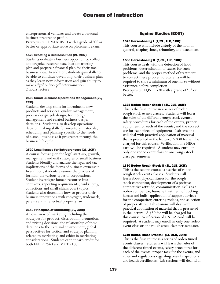entrepreneurial ventures and create a personal business preference profile.

Prerequisite: HMDV 0510 with a grade of "C" or better or appropriate score on placement exam.

#### 1520 Creating a Business Plan (2L, 2CR):

Students evaluate a business opportunity, collect and organize research data into a marketing plan and prepare a financial plan for their small business idea. In addition, students gain skills to be able to continue developing their business plan as they learn new information and gain ability to make a "go" or "no-go" determination. 2 hours lecture.

#### 2500 Small Business Operations Management (2L, 2CR):

Students develop skills for introducing new products and services, quality management, process design, job design, technology management and related business design decisions. Students also develop operations decision making skills for inventory, materials, scheduling and planning specific to the needs of a small business as it progresses through the business life cycle.

## 2520 Legal Issues for Entrepreneurs (2L, 2CR):

A course focusing on the legal start-up, growth, management and exit strategies of small business. Students identify and analyze the legal and tax implications of the forms of business ownership. In addition, students examine the process of forming the various types of corporations. Student investigate human resource laws, contracts, reporting requirements, bankruptcy, collections and small claims court topics. Students also determine how to protect their business innovations with copyright, trademark, patents and intellectual property law.

#### 2540 Principles of Marketing (3L, 3CR):

An overview of marketing including the strategies for product, distribution, promotion, and pricing decisions; the relationship of these decisions to the external environment; global perspectives for tactical and strategic planning related to marketing; and ethics in marketing considerations. Students cannot earn credit for both ENTR 2540 and MKT 2100.

# Equine Studies (EQST)

#### 1570 Horseshoeing I (1/2L, 1LB, 1CR):

This course will include a study of the hoof in general, shaping shoes, trimming, and placement.

#### 1580 Horseshoeing II (1/2L, 1LB, 1CR):

This course deals with the detection of hoof problems, determination of causes for such problems, and the proper method of treatment to correct these problems. Students will be required to shoe a minimum of one horse without assistance before completion. Prerequisite: EQST 1570 with a grade of "C" or better.

#### 1725 Rodeo Rough Stock I (1L, 2LB, 2CR):

This is the first course in a series of rodeo rough stock events classes. Students will learn the rules of the different rough stock events, safety procedures for each of the events, proper equipment for each of the events, and the correct use for each piece of equipment. Lab sessions will deal with practical application of material that is presented in the lecture. A \$30 fee will be charged for this course. Verification of a NIRA card will be required. A student may enroll in only one rodeo event class or one rough stock class per semester.

#### 1730 Rodeo Rough Stock II (1L, 2LB, 2CR):

This is the second course is a series of rodeo rough stock events classes. Students will learn about physical fitness for the rough stock competitor, development of a positive competitive attitude, communication skills as a rodeo competitor, humane treatment of bucking horses and bulls, application of support devices for the competitor, entering rodeos, and selection of proper attire. Lab sessions will deal with practical application of material that is presented in the lecture. A \$30 fee will be charged for this course. Verification of a NIRA card will be required. A student may enroll in only one rodeo event class or one rough stock class per semester.

#### 1740 Rodeo Timed Events I (1L, 2LB, 2CR):

This is the first course is a series of rodeo timed events classes. Students will learn the rules of the different timed events, safety procedures for each of the events, proper tack for the events, and rules and regulations regarding brand inspections and health certificates. Lab sessions will deal with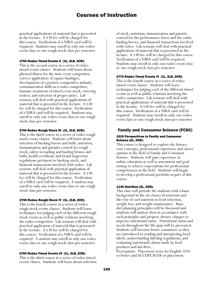practical applications of material that is presented in the lecture. A \$30 fee will be charged for this course. Verification of a NIRA card will be required. Students may enroll in only one rodeo event class or one rough stock class per semester.

#### 1750 Rodeo Timed Events II (1L, 2LB, 2CR):

This is the second course in a series of rodeo timed events classes. Students will learn about physical fitness for the time event competitor, correct application of equine bandages, development of a positive competitive attitude, communication skills as a rodeo competitor, humane treatment of timed event stock, entering rodeos, and selection of proper attire. Lab sessions will deal with practical applications of material that is presented in the lecture. A \$30 fee will be charged for this course. Verification of a NIRA card will be required. Students may enroll in only one rodeo event class or one rough stock class per semester.

#### 2740 Rodeo Rough Stock III (1L, 2LB, 2CR):

This is the third course in a series of rodeo rough stock events classes. Students will learn about selection of bucking horses and bulls, nutrition, immunization and parasite control for rough stock, safety in loading and hauling broncs and bulls, health certificate and brand inspection regulations pertinent to bucking stock, and financial transactions involved with rodeo. Lab sessions will deal with practical application of material that is presented in the lecture. A \$30 fee will be charged for this course. Verification of a NIRA card will be required. A student may enroll in only one rodeo event class or one rough stock class per semester.

#### 2750 Rodeo Rough Stock IV (1L, 2LB, 2CR):

This is the fourth course in a series of rodeo rough stock events classes. Students will learn techniques for judging each of the different rough stock events as well as public relations involving the rodeo competitor. Lab sessions will deal with practical application of material that is presented in the lecture. A \$30 fee will be charged for this course. Verification of a NIRA card will be required. A student may enroll in only one rodeo event class or one rough stock class per semester.

#### 2760 Rodeo Timed Events III (1L, 2LB, 2CR):

This is the third course in a series of rodeo timed events classes. Students will learn about selection of stock, nutrition, immunization and parasite control for the performance horse and the cattle, hauling horses, and financial transactions involved with rodeo. Lab sessions will deal with practical applications of material that is presented in the lecture. A \$30 fee will be charged for this course. Verification of a NIRA card will be required. Students may enroll in only one rodeo event class or one rough stock class per semester.

## 2770 Rodeo Timed Events IV (1L, 2LB, 2CR):

This is the fourth course in a series of rodeo timed events classes. Students will learn techniques for judging each of the different timed events as well as public relations involving the rodeo competitor. Lab sessions will deal with practical applications of material that is presented in the lecture. A \$30 fee will be charged for this course. Verification of a NIRA card will be required. Students may enroll in only one rodeo event class or one rough stock class per semester.

# Family and Consumer Science (FCSC)

#### 1010 Perspectives in Family and Consumer Science (2L, 2CR):

This course is designed to explore the history, core concepts, professional experience and career options in the field of Family and Consumer Science. Students will gain experience in online education as well as assessment and goal setting to achieve expectations for professional competencies in the field. Students will begin to develop a professional portfolio as part of this course.

## 1140 Nutrition (3L, 3CR):

This class will provide the students with a basic background in the six classes of nutrients and the role of each nutrient in food selection, weight loss, and weight maintenance. Basic diet planning principles will be discussed and students will analyze diets in accordance with such principles and propose dietary changes to improve nutritional status. Nutritional status and needs throughout the life span will be presented. Students will become better consumers as they are introduced to reading and interpreting food labels, understanding labeling regulations, and evaluating nutritional claims made by food products and fad diets.

Prerequisite: Placement score for English 1010 or better and ACCUPLACER or placement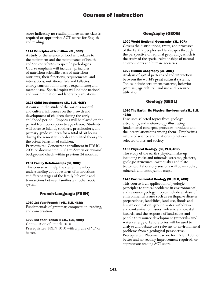score indicating no reading improvement class is required or appropriate ACT scores for English and reading.

#### 1141 Principles of Nutrition (3L, 3CR):

A study of the science of food as it relates to the attainment and the maintenance of health and/or contributes to specific pathologies. Course emphasis will include: principles of nutrition; scientific basis of nutrition; nutrients, their functions, requirements, and interactions; nutritional fads and fallacies; energy consumption; energy expenditure; and metabolism. Special topics will include national and world nutrition and laboratory situations.

#### 2121 Child Development (2L, 3LB, 4CR):

A course in the study of the various societal and cultural influences on the growth and development of children during the early childhood period. Emphasis will be placed on the period from conception to age eleven. Students will observe infants, toddlers, preschoolers, and primary grade children for a total of 30 hours during the semester in order to related theory to the actual behavior of children. Prerequisite: Concurrent enrollment in EDUC 2005 or documented DFS Pre-Screen or criminal background check within previous 24 months.

#### 2131 Family Relationships (3L, 3CR):

This course will help the student develop understanding about patterns of interactions at different stages of the family life cycle and transactions between families and other social system.

# French-Language (FREN)

#### 1010 1st Year French I (4L, 1LB, 4CR):

Fundamentals of grammar, composition, reading, and conversation.

#### 1020 1st Year French II (4L, 1LB, 4CR):

Continuation of French 1010. Prerequisite: FREN 1010 with a grade of "C" or better.

# Geography (GEOG)

#### 1000 World Regional Geography (3L, 3CR):

Covers the distributions, traits, and processes of the Earth's peoples and landscapes through the perspective of regional geography, which is the study of the spatial relationships of natural environments and human societies.

#### 1020 Human Geography (3L, 3CR):

Analysis of spatial patterns of and interaction between the world's great cultural systems. Topics include settlement patterns, behavior patterns, agricultural land use and resource utilization.

# Geology (GEOL)

#### 1070 The Earth: Its Physical Environment (3L, 1LB, 4CR):

Discusses selected topics from geology, astronomy, and meteorology illustrating fundamental concepts, processes, products and the interrelationships among them. Emphasizes nature of science and relationship between selected topics and society.

#### 1100 Physical Geology (3L, 2LB, 4CR):

The study of the earth's physical make-up including rocks and minerals, streams, glaciers, geologic structures, earthquakes and plate tectonics. Laboratory sessions will cover rocks, minerals and topographic maps.

#### 1470 Environmental Geology (3L, 3LB, 4CR):

This course is an application of geologic principles to topical problems in environmental and resource geology. Topics include analysis of environmental issues such as earthquake disaster preparedness, landslides, land use, floods and human occupation, ground water withdrawal and contamination issues, volcanic and coastal hazards, and the response of landscapes and people to resource development (minerals/air/ water/energy). Laboratories will be used to analyze and debate data relevant to environmental problems from a geological perspective. Prerequisite: Placement score for ENGL 1009 or better and no reading improvement required, or appropriate reading ACT score.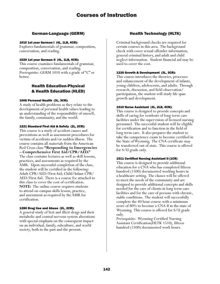# German-Language (GERM)

# 1010 1st year German I (4L, 1LB, 4CR):

Explores fundamentals of grammar, composition, conversation, and reading.

# 1020 1st year German II (4L, 1LB, 4CR):

This course examines fundamentals of grammar, composition, conversation, and reading. Prerequisite: GERM 1010 with a grade of "C" or better.

# Health Education-Physical & Health Education (HLED)

# 1006 Personal Health (3L, 3CR):

A study of health problems as they relate to the development of personal health values leading to an understanding of the responsibility of oneself, the family, community, and the world.

# 1221 Standard First Aid & Safety (2L, 2CR):

This course is a study of accident causes and preventions as well as assessment procedures for victims of accidents and/or sudden illness. The course contains all materials from the American Red Cross class **"Responding to Emergencies – Comprehensive First Aid/CPR/AED."** The class contains lectures as well as skill lessons, practices, and assessments as required by the AMR. Upon successful completion of the class, the student will be certified in the following: Adult CPR/AED/First Aid; Child/Infant CPR/ AED/First Aid. There is a course fee attached to this class to cover the cost of certification. **NOTE:** The online course requires students to attend on-campus skills lesson, practice, and assessment as required by the AMR for certification.

# 1280 Drug Use and Abuse (2L, 2CR):

A general study of licit and illicit drugs and their metabolic and central nervous system alterations with special emphasis on the consequent impact on an individual, family, subculture, and world society, both in the past and the present.

# Health Technology (HLTK)

Criminal background checks are required for certain courses in this area. The background check with cover sexual offender information, general criminal history, and adult and child neglect information. Student financial aid may be used to cover the cost.

# 1220 Growth & Development (3L, 3CR):

This course introduces the theories, processes and enhancement of the development of infants, young children, adolescents, and adults. Through research, discussion, and field observation/ participation, the student will study life span growth and development.

# 1510 Nurse Assistant (3L, 2LB, 4CR):

This course is designed to provide concepts and skills of caring for residents of long-term care facilities under the supervision of licensed nursing personnel. The successful student will be eligible for certification and to function in the field of long term care. It also prepares the student to take the competency exam to become certified in the State of Wyoming. The CNA certificate may be transferred out of state. This course is offered for S/U grade only.

# 1511 Certified Nursing Assistant II (1CR)

This course is designed to provide additional education for a CNA who has completed fifteen hundred (1500) documented working hours in a healthcare setting. The classes will be offered to meet the needs of the community and are designed to provide additional concepts and skills needed for the care of clients in long term care facilities and for the care of persons with chronic, stable conditions. The student will successfully complete the 40 hour course with a minimum score of 80% to become a CNA II in the state of Wyoming. This course is offered for S/U grade only.

Prerequisite: Wyoming Certified Nursing Assistant Certification(HLTK 1510), fifteen hundred (1500) documented work hours.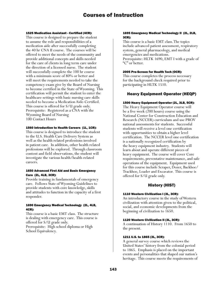#### 1525 Medication Assistant - Certified (4CR):

This course is designed to prepare the student to assume the role and responsibilities of a medication aide after successfully completing the 40 hr CNA II course. The courses will be offered to meet the needs of the community and provide additional concepts and skills needed for the care of clients in long term care under the direction of a licensed nurse. The student will successfully complete the 100 hr course with a minimum score of 80% or better and will meet the requirements needed to take the competency exam give by the Board of Nursing to become certified in the State of Wyoming. This certification will permit the student to enter the healthcare settings with basic nursing care skills needed to become a Medication Aide-Certified. This course is offered for S/U grade only. Prerequisite: Registered as a CNA with the Wyoming Board of Nursing 100 Contact Hours

#### 1560 Introduction to Health Careers (1L, 1CR):

This course is designed to introduce the student to the U.S. Health Care Delivery System as well as the health related professions involved in patient care. In addition, other health related professions will be explored. Through classroom content and field observations, the student will investigate the various health/health-related careers.

#### 1650 Advanced First Aid and Basic Emergency Care (2L, 4LB, 3CR):

Provide training in fundamentals of emergency care. Follows State of Wyoming Guidelines to provide students with core knowledge, skills and attitudes to function in the capacity of a first responder.

#### 1690 Emergency Medical Technology (2L, 4LB, 4CR):

This course is a basic EMT class. The structure is dealing with emergency care. This course is offered for S/U grade only. Prerequisite: High school diploma or High School Equivalency.

#### 1695 Emergency Medical Technology II (2L, 2LB, 3CR):

This course is a basic EMT class. The topics include advanced patient assessment, respiratory system, general pharmacology, and medical emergencies and medications. Prerequisite: HLTK 1690, EMT I with a grade of "C" or better.

#### 2005 Pre-Screen for Health Tech (OCR):

This course completes the process necessary for the background check required prior to participating in HLTK 1510.

# Heavy Equipment Operator (HEQP)

#### 1500 Heavy Equipment Operator (2L, 3LB, 5CR):

The Heavy Equipment Operator course will be a five week (200 hours) course using the National Center for Construction Education and Research (NCCER) curriculum and use PROV national assessments for students. Successful students will receive a level one certification with opportunities to obtain a higher level certification. The NCCER level one certification is a nationally recognized certification by the heavy equipment industry. Students will learn about and operate different pieces of heavy equipment. The course will cover Core requirements, preventative maintenance, and safe operations of the equipment. Equipment used for this course include Scraper, Dozer, Backhoe/ Trackhoe, Loader and Excavator. This course is offered for S/U grade only.

# History (HIST)

#### 1110 Western Civilization I (3L, 3CR):

An introductory course in the study of Western civilization with attention given to the political, social, and economic developments from the beginning of civilization to 1650.

#### 1120 Western Civilization II (3L, 3CR):

A continuation of History 1110. From 1650 to the present.

#### 1211 U.S. to 1865 (3L, 3CR):

A general survey course which reviews the United States' history from the colonial period to 1865. Emphasis is placed on the important events and personalities that shaped our nation's heritage. This course meets the requirements of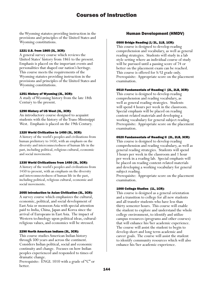the Wyoming statutes providing instruction in the provisions and principles of the United States and Wyoming constitutions.

#### 1221 U.S. from 1865 (3L, 3CR):

A general survey course which reviews the United States' history from 1865 to the present. Emphasis is placed on the important events and personalities that shaped our nation's heritage. This course meets the requirements of the Wyoming statutes providing instruction in the provisions and principles of the United States and Wyoming constitutions.

#### 1251 History of Wyoming (3L, 3CR):

A study of Wyoming history from the late 18th Century to the present.

## 1290 History of US West (3L, 3CR):

An introductory course designed to acquaint students with the history of the Trans-Mississippi West. Emphasis is placed on the 19th Century.

#### 1320 World Civilization to 1450 (3L, 3CR):

A history of the world's peoples and civilizations from human prehistory to 1450, with an emphasis on the diversity and interconnectedness of human life in the past, including political, religious cultural, economic and social movements.

## 1330 World Civilizations from 1450 (3L, 3CR):

A history of the world's peoples and civilizations from 1450 to present, with an emphasis on the diversity and interconnectedness of human life in the past, including political, religious cultural, economic and social movements.

## 2055 Introduction to Asian Civilization (3L, 3CR):

A survey course which emphasizes the cultural, economic, political, and social development of East Asia or monsoon Asia with special attention paid to India, China, Japan and Korea since the arrival of Europeans in East Asia. The impact of Western technology upon political ideas, culturalreligious values, and economics will be stressed.

## 2290 North American Indians (3L, 3CR):

This course studies American Indian history through 500 years and across the continent. Considers Indian political, social and economic continuity and change. Focuses on how Indian peoples experienced and responded to times of dramatic change.

Prerequisite: ENGL 1010 with a grade of "C" or better.

# Human Development (HMDV)

#### 0500 Bridge Reading (1/2L, 1LB, 1CR):

This course is designed to develop reading comprehension and vocabulary, as well as general reading strategies. Students will study in a lab style setting where an individual course of study will be pursued until a passing score of 74 or better on the placement exam can be reached. This course is offered for S/U grade only. Prerequisite: Appropriate score on the placement examination.

## 0510 Fundamentals of Reading I (2L, 2LB, 3CR):

This course is designed to develop reading comprehension and reading vocabulary, as well as general reading strategies. Students will spend 4 hours per week in the classroom. Special emphasis will be placed on reading content-related materials and developing a working vocabulary for general subject reading. Prerequisite: Appropriate score on the placement examination.

## 0520 Fundamentals of Reading II (2L, 2LB, 3CR):

This course is designed to develop reading comprehension and reading vocabulary, as well as general reading strategies. Students will spend 3 hours per week in the classroom and 1 hour per week in a reading lab. Special emphasis will be placed on reading content-related materials and developing a working vocabulary for general subject reading.

Prerequisite: Appropriate score on the placement examination.

## 1000 College Studies (1L, 1CR):

This course is designed as a general orientation and a transition to college for all new students and all transfer students who have less than thirty semester hours. This course will enable the student to explore and understand the whole college environment, to identify and utilize campus resources (programs and other courses) that will enhance his/her academic experience. The course will assist the student to begin to develop short and long term academic and career goals. The course will assist the student to identify community resources which will also enhance his/her academic experience.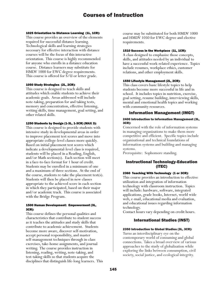#### 1025 Orientation to Distance Learning (1L, 1CR):

This course provides an overview of the elements required for successful distance learning. Technological skills and learning strategies necessary for effective interaction with distance courses will be the focus of this interactive orientation. This course is highly recommended for anyone who enrolls in a distance education course. Distance learners may substitute for HMDV 1000 for EWC degree requirements. This course is offered for S/U or letter grade.

#### 1050 Study Strategies (2L, 2CR):

This course is designed to teach skills and attitudes which enable students to achieve their academic goals. Areas addressed will include note-taking, preparation for and taking tests, memory and concentration, effective listening, writing skills, time management, goal setting, and other related skills.

#### 1250 Students by Design (1-3L, 1-3CR) (MAX 3):

This course is designed to provide students with intensive study in developmental areas in order to improve placement test scores and move into appropriate college-level classes more quickly. Based on initial placement test scores which indicate a developmental-level class is required, students will be placed in a Reading, English, and/or Math section(s). Each section will meet in a face-to-face format for 1 hour of credit. Students may be enrolled in a minimum of one and a maximum of three sections. At the end of the course, students re-take the placement test(s). Students will then be placed in new classes appropriate to the achieved score in each section in which they participated, based on their major and/or academic track. This course is associated with the Bridge Program.

#### 1500 Human Development: Empowerment (3L, 3CR):

This course defines the personal qualities and characteristics that contribute to student success as it teaches the attitudes and study skills that contribute to academic achievement. Students become more aware, discover self-motivation, accept personal responsibility, and master self-management techniques through in-class exercises, take-home assignments, and journal writing. The course provides instruction in listening, reading, writing, note-taking, and test-taking skills so that students acquire the disciplines that distinguish life-long learners. This

course may be substituted for both HMDV 1000 and HMDV 1050 for EWC degree and elective requirements.

#### 1510 Success in the Workplace (1L, 1CR):

A class designed to emphasize those concepts, skills, and attitudes needed by an individual to have a successful work-related experience. Topics include resumes, workplace ethics, customer relations, and other employment skills.

#### 1550 Lifestyle Management (2L, 2CR):

This class covers basic lifestyle topics to help students become more successful in life and in school. It includes topics in nutrition, exercise, goal setting, resume building, interviewing skills, mental and emotional health topics and working with community resources.

# Information Management (IMGT)

#### 2400 Introduction to Information Management (3L, 3CR):

Concerned with the role of information systems in managing organizations to make them more competitive and efficient. Specific topics include organizational and technical foundations of information systems and building and managing systems.

Prerequisite: Sophomore standing.

# Instructional Technology-Education (ITEC)

## 2360 Teaching With Technology (1 or 3CR):

This course provides an introduction to effective utilization and integration of information technology with classroom instruction. Topics will include: hardware, software, integrated applications, grade books, Internet, world wide web, e-mail, educational media and evaluation, and educational issues regarding information technology.

Contact hours vary depending on credit hours.

# International Studies (INST)

#### 2350 Introduction to Global Studies (3L, 3CR):

Turns an interdisciplinary eye on the contemporary world of consuming and global connections. Takes a broad overview of various approaches to the study of globalization while exploring the links between consumption, civil society, social justice, and ecological integrity.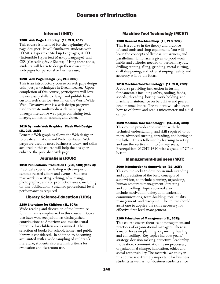# Internet (INET)

#### 1580 Web Page Authoring (1L, 2LB, 2CR):

This course is intended for the beginning Web page designer. It will familiarize students with HTML (Hypertext Markup Language), XHTL (Extensible Hypertext Markup Language) and CSS (Cascading Style Sheets). Using these tools, students will learn to design their own simple web pages for personal or business use.

#### 1590 Web Page Design (2L, 2LB, 3CR):

This is an introductory course on web page design using design techniques in Dreamweaver. Upon completion of this course, participants will have the necessary skills to design and publish basic custom web sites for viewing on the World Wide Web. Dreamweaver is a web design program used to create multimedia-rich web pages through interactive web pages containing text, images, animation, sounds, and video.

#### 1610 Dynamic Web Graphics: Flash Web Design (2L, 2LB, 3CR):

Dynamic Web graphics allows the Web designer to create animations and Web interfaces. Web pages are used by most businesses today, and skills acquired in this course will help the designer enhance the published Web page.

# Journalism (JOUR)

#### 1010 Publications Production I (2LB, 1CR) (Max 4):

Practical experience dealing with campus or campus-related affairs and events. Students may work in writing, editing, advertising, photographic, and/or production areas, including on-line publication. Sustained professional-level performance is required.

## Library Science-Education (LIBS)

#### 2280 Literature for Children (3L, 3CR):

Wide reading and discussion of the literature for children is emphasized in this course. Books that have won recognition as distinguished contributions to American and multicultural literature for children are examined. The selection of books for school, home, and public library is considered. In addition to becoming acquainted with a wide sampling of children's literature, students also establish criteria for evaluation and classroom use.

# Machine Tool Technology (MCHT)

#### 1500 General Machine Shop (1L, 2LB, 2CR):

This is a course in the theory and practice of hand tools and shop equipment. You will learn the concepts of flatness, squareness, and parallelism. Emphasis is given to good work habits and attitudes needed to perform layout, drilling tapping, filing, grinding, metal cutting, drill sharpening, and letter stamping. Safety and accuracy will be the focus.

#### 1610 Machine Tool Technology I (1L, 2LB, 2CR):

A course providing instruction in turning fundamentals including safety, tooling, feeds, speeds, threading, boring, work holding, and machine maintenance on belt drive and geared head manual lathes. The student will also learn how to calibrate and read a micrometer and a dial caliper.

#### 1620 Machine Tool Technology II (1L, 4LB, 3CR):

This course provides the student with the technical understanding and skill required to do more advanced turning, threading, and boring on the lathe. This is followed by learning to set up and use the vertical mill to cut key seats. Prerequisite: MCHT 1610 with a grade of "C" or better.

## Management-Business (MGT)

#### 1000 Introduction to Supervision (3L, 3CR):

This course seeks to develop an understanding and appreciation of the basic concepts of supervision, to include planning, organizing, human resources management, directing, and controlling. Topics covered also include motivation, delegation, leadership, communications, team-building, total quality management, and discipline. The course should assist one to acquire the skills necessary for effective first-level management.

#### 2100 Principles of Management (3L, 3CR):

This course covers theories of management and practices of organizational managers. There is a major focus on planning, organizing, leading and controlling. Key topics include: goals/ strategy, decision making, structure, leadership, motivation, communication, team processes, organizational change, innovation, ethics and social responsibility. The material we study in this course is extremely important for business students as well as non-business students since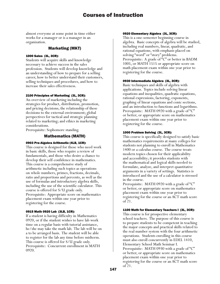almost everyone at some point in time either works for a manager or is a manager in an organization.

# Marketing (MKT)

#### 1000 Sales (3L, 3CR):

Students will acquire skills and knowledge necessary to achieve success in the sales profession. Students will develop knowledge and an understanding of how to prepare for a selling career, how to better understand their customers, selling techniques and procedures, and how to increase their sales effectiveness.

## 2100 Principles of Marketing (3L, 3CR):

An overview of marketing including the strategies for product, distribution, promotion, and pricing decisions; the relationship of these decisions to the external environment; global perspectives for tactical and strategic planning related to marketing; and ethics in marketing considerations.

Prerequisite: Sophomore standing.

# Mathematics (MATH)

#### 0903 Pre-Algebra Arithmetic (4LB, 1CR):

This course is designed for those who need work in basic skills, those who require a review of fundamentals, and those who desire a chance to develop their self-confidence in mathematics. This course is a comprehensive study of arithmetic including such topics as operations on whole numbers, primes, fractions, decimals, ratio and proportions and percents, as well as the use of formulas and introductory algebra skills, including the use of the scientific calculator. This course is offered for S/U grade only. Prerequisite: Appropriate score on mathematics placement exam within one year prior to registering for the course.

## 0915 Math 0920 Lab (3LB, 1CR):

If a student is having difficulty in Mathematics 0920, or if the student wishes to have lab work time on a regular basis with tutorial assistance, he/she may take the math lab. The lab will be on a to be arranged basis. The student will be able to register for the lab any time before midterm. This course is offered for S/U grade only. Prerequisite: Concurrent enrollment in MATH 0920.

#### 0920 Elementary Algebra (3L, 3CR):

This is a one-semester beginning course in algebra. Basic concepts of algebra will be studied, including real numbers, linear, quadratic, and rational equations, with emphasis placed on solving "word" or "story" problems. Prerequisite: A grade of "C" or better in BADM 1005, or MATH 1515 or appropriate score on math placement exam within one year prior to registering for the course.

#### 0930 Intermediate Algebra (3L, 3CR):

Basic techniques and skills of algebra with applications. Topics include solving linear equations and inequalities, quadratic equations, rational expressions, factoring, exponents, graphing of linear equations and conic sections, and an introduction to functions and logarithms. Prerequisite: MATH 0920 with a grade of "C" or better, or appropriate score on mathematics placement exam within one year prior to registering for the course.

#### 1000 Problem Solving (3L, 3CR):

This course is specifically designed to satisfy basic mathematics requirements at many colleges for students not planning to enroll in Mathematics 1400 or a calculus course. The course treats modern topics chosen for their applicability and accessibility; it provides students with the mathematical and logical skills needed to formulate, analyze, and interpret quantitative arguments in a variety of settings. Statistics is introduced and the use of a calculator is stressed in the course.

Prerequisite: MATH 0920 with a grade of "C" or better, or appropriate score on mathematics placement exam within one year prior to registering for the course or an ACT math score of 21.

## 1100 Math for Elementary Teachers I (3L, 3CR):

This course is for prospective elementary school teachers. The purpose of this course is to prepare students to be competent in teaching the major concepts and practical skills related to the real number system with the four arithmetic operations. Students enrolling in this course must also enroll concurrently in EDEL 1410, Elementary School Math Seminar I. Prerequisite: MATH 0930 with a grade of "C" or better, or appropriate score on mathematics placement exam within one year prior to registering for the course or an ACT math score of 21.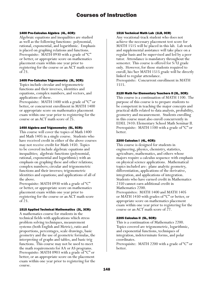#### 1400 Pre-Calculus Algebra (4L, 4CR):

Algebraic equations and inequalities are studied as well as the following functions: polynomial, rational, exponential, and logarithmic. Emphasis is placed on graphing relations and functions. Prerequisite: MATH 0930 with a grade of "C" or better, or appropriate score on mathematics placement exam within one year prior to registering for the course or an ACT math score of 23.

#### 1405 Pre-Calculus Trigonometry (3L, 3CR):

Topics include circular and trigonometric functions and their inverses, identities and equations, complex numbers, and vectors, and applications of these.

Prerequisite: MATH 1400 with a grade of "C" or better, or concurrent enrollment in MATH 1400 or appropriate score on mathematics placement exam within one year prior to registering for the course or an ACT math score of 25.

#### 1450 Algebra and Trigonometry (5L, 5CR):

This course will cover the topics of Math 1400 and Math 1405 in a single course. Students who have received credit in either of the above courses may not receive credit for Math 1450. Topics to be covered include algebraic equations and inequalities; algebraic functions (polynomial, rational, exponential and logarithmic) with an emphasis on graphing these and other relations; complex numbers; circular and trigonometric functions and their inverses; trigonometric identities and equations; and applications of all of the above.

Prerequisite: MATH 0930 with a grade of "C" or better, or appropriate score on mathematics placement exam within one year prior to registering for the course or an ACT math score of 23.

## 1515 Applied Technical Mathematics (3L, 3CR):

A mathematics course for students in the technical fields with applications which stress problem solving techniques, measurement systems (both English and Metric), ratio and proportions, percentages, scale drawings, basic geometry and the use of geometric formulas, the interpreting of graphs and tables, and basic trig functions. This course may not be used to meet the math requirements for AA or AS programs. Prerequisite: MATH 0903 with a grade of "C" or better, or an appropriate score on the placement exam within one year prior to registering for the course.

#### 1516 Technical Math Lab (1LB, 0CR)

Any vocational-track student who does not achieve the necessary placement test score for MATH 1515 will be placed in this lab. Lab work and supplemental assistance will take place on a regular basis and be supervised and led by a peer tutor. Attendance is mandatory throughout the semester. This course is offered for S/U grade only. However, for those students required to enroll, his/her MATH 1515 grade will be directly linked to regular attendance. Prerequisite: Concurrent enrollment in MATH 1515.

#### 2120 Math for Elementary Teachers II (3L, 3CR):

This course is a continuation of MATH 1100. The purpose of this course is to prepare students to be competent in teaching the major concepts and practical skills related to data analysis, probability, geometry and measurement. Students enrolling in this course must also enroll concurrently in EDEL 2410: Elementary School Math Seminar II. Prerequisite: MATH 1100 with a grade of "C" or better.

#### 2200 Calculus I (4L, 4CR):

This course is designed for students in engineering, physics, chemistry, statistics, agriculture, mathematics, and others whose majors require a calculus sequence with emphasis on physical science applications. Mathematical topics included are: plane analytic geometry, differentiation, applications of the derivative, integration, and applications of integration. Students who have earned credit in Mathematics 2350 cannot earn additional credit in Mathematics 2200.

Prerequisites: MATH 1400 and MATH 1405 or MATH 1450 with grades of "C" or better, or appropriate score on mathematics placement exam within one year prior to registering for the course or an ACT math score of 27.

#### 2205 Calculus II (5L, 5CR):

This is a continuation of Mathematics 2200. Topics covered are trigonometric, logarithmic, and exponential functions, techniques of integration, indeterminate forms, and polar coordinates.

Prerequisite: MATH 2200 with a grade of "C" or better.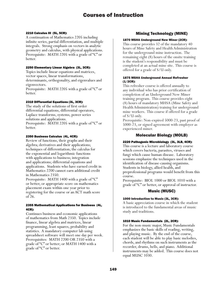#### 2210 Calculus III (5L, 5CR):

A continuation of Mathematics 2205 including infinite series, partial differentiation, and multiple integrals. Strong emphasis on vectors in analytic geometry and calculus, with physical applications. Prerequisite: MATH 2205 with a grade of "C" or better.

# 2250 Elementary Linear Algebra (3L, 3CR):

Topics include linear equations and matrices, vector spaces, linear transformations, determinants, orthogonality, and eigenvalues and eigenvectors.

Prerequisite: MATH 2205 with a grade of "C" or better.

#### 2310 Differential Equations (3L, 3CR):

The study of the solutions of first order differential equations, differential operators, Laplace transforms, systems, power series solutions and applications. Prerequisite: MATH 2205 with a grade of "C" or better.

#### 2350 Business Calculus (4L, 4CR):

Review of functions, their graphs and their algebra; derivatives and their applications; techniques of differentiation; the calculus for the exponential and logarithmic functions with applications to business; integration and applications; differential equations and applications. Students who have earned credit in Mathematics 2200 cannot earn additional credit in Mathematics 2350.

Prerequisite: MATH 1400 with a grade of "C" or better, or appropriate score on mathematics placement exam within one year prior to registering for the course or an ACT math score of 26.

#### 2355 Mathematical Applications for Business (4L, 4CR):

Continues business and economic applications of mathematics from Math 2350. Topics include finance, linear algebra and matrices, linear programming, least squares, probability and statistics. A mandatory computer lab using spreadsheet software will meet one day per week. Prerequisites: MATH 2200 OR 2350 with a grade of "C" or better; or MATH 1400 with a grade of "C" or better.

# Mining Technology (MINE)

#### 1870 MSHA Underground New Miner (2CR):

This course provides 32 of the mandatory 40 hours of Mine Safety and Health Administration for the underground mine instruction. The remaining eight (8) hours of the onsite training is the student's responsibility and must be completed at an actual mine site. This course is offered for a grade of S/U only.

#### 1875 MSHA Underground Annual Refresher (1/2CR):

This refresher course is offered annually to any individual who has prior certification of completion of an Underground New Miner training program. This course provides eight (8) hours of mandatory MHSA (Mine Safety and Health Administration) training for underground mine workers. This course if offered for a grade of S/U only.

Prerequisite: Non-expired 5000-23, past proof of 5000-23, or signed agreement with employer as experienced miner.

# Molecular Biology (MOLB)

#### 2220 Pathogenic Microbiology (3L, 3LB, 4CR):

This course is a lecture and laboratory course which covers bacteria, parasites, viruses and fungi which cause human disease. Laboratory sessions emphasize the techniques used in the identification of disease-causing organisms. Students in biology, allied health, and preprofessional programs would benefit from this course.

Prerequisite: BIOL 1000 or BIOL 1010 with a grade of "C" or better, or approval of instructor.

# Music (MUSC)

#### 1000 Introduction to Music (3L, 3CR):

A basic appreciation course in which the student is introduced to the fundamental areas of music study and traditions.

#### 1010 Music Fundamentals (2L, 2CR):

For the non-music major, Music Fundamentals emphasizes the basic skills of reading, writing, and playing music. By the end of the course, each student will be able to play basic melodies, chords, and rhythms on such instruments as the recorder, drums, bells, and piano. Additional instruments may be added. This course does not equal MUSC 1030.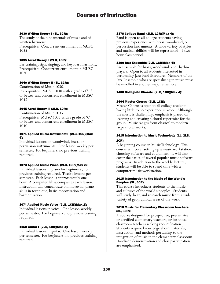#### 1030 Written Theory I (3L, 3CR):

The study of the fundamentals of music and of written harmony. Prerequisite: Concurrent enrollment in MUSC 1035.

## 1035 Aural Theory I (2LB, 1CR):

Ear training, sight singing, and keyboard harmony. Prerequisite: Concurrent enrollment in MUSC 1030.

#### 1040 Written Theory II (3L, 3CR):

Continuation of Music 1030. Prerequisites: MUSC 1030 with a grade of "C" or better and concurrent enrollment in MUSC 1045.

## 1045 Aural Theory II (2LB, 1CR):

Continuation of Music 1035. Prerequisite: MUSC 1035 with a grade of "C" or better and concurrent enrollment in MUSC 1040.

#### 1071 Applied Music-Instrument I (2LB, 1CR)(Max 4):

Individual lessons on woodwind, brass, or percussion instruments. One lesson weekly per semester. For beginners, no previous training required.

## 1073 Applied Music Piano (2LB, 1CR)(Max 2):

Individual lessons in piano for beginners, no previous training required. Twelve lessons per semester. Each lesson is approximately one hour. A computer lab accompanies each lesson. Instruction will concentrate on improving piano skills in technique, basic improvisation and harmonization.

#### 1074 Applied Music Voice (2LB, 1CR)(Max 2):

Individual lessons in voice. One lesson weekly per semester. For beginners, no previous training required.

## 1150 Guitar I (2LB, 1CR)(Max 4):

Individual lessons in guitar. One lesson weekly per semester. For beginners, no previous training required.

#### 1378 College Band (2LB, 1CR)(Max 4):

Band is open to all college students having previous experience with brass, woodwind, or percussion instruments. A wide variety of styles and musical abilities will be represented. 1 twohour class period.

#### 1390 Jazz Ensemble (2LB, 1CR)(Max 4):

An ensemble for brass, woodwind, and rhythm players. Open to all students interested in performing jazz band literature. Members of the Jazz Ensemble who are specializing in music must be enrolled in another major ensemble.

#### 1400 Collegiate Chorale (2LB, 1CR)(Max 4):

#### 1404 Master Chorus (2LB, 1CR):

Master Chorus is open to all college students having little to no experience in voice. Although the music is challenging, emphasis is placed on learning and creating a choral repertoire for the group. Music ranges from classical to modern large choral works.

# 1415 Introduction to Music Technology (1L, 2LB, 2CR):

A beginning course in Music Technology. This course will cover setting up a music workstation, choosing software and equipment. It will also cover the basics of several popular music software programs. In addition to the weekly lecture, students will be able to spend time with a computer music workstation.

#### 2015 Introduction to the Music of the World's Peoples (3L, 3CR):

This course introduces students to the music and cultures of the world's peoples. Students will study, hear, and research music from a wide variety of geographical areas of the world.

#### 2018 Music for Elementary Classroom Teachers (3L, 3CR):

A course designed for prospective, pre-service, or certified elementary teachers, or for those classroom teachers seeking recertification. Students acquire knowledge about materials, instruction, and methods pertaining to the integration of music in the elementary classroom. Hands-on demonstration and class participation are emphasized.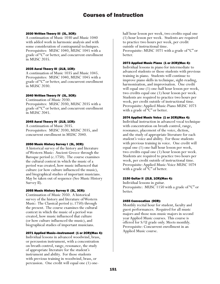#### 2030 Written Theory III (3L, 3CR):

A continuation of Music 1030 and Music 1040 with added work in harmonic analysis and with some consideration of contrapuntal techniques. Prerequisites: MUSC 1040, MUSC 1045 with a grade of "C" or better, and concurrent enrollment in MUSC 2035.

#### 2035 Aural Theory III (2LB, 1CR):

A continuation of Music 1035 and Music 1045. Prerequisites: MUSC 1040, MUSC 1045 with a grade of "C" or better, and concurrent enrollment in MUSC 2030.

#### 2040 Written Theory IV (3L, 3CR):

Continuation of Music 2030. Prerequisites: MUSC 2030, MUSC 2035 with a grade of "C" or better, and concurrent enrollment in MUSC 2045.

#### 2045 Aural Theory IV (2LB, 1CR):

A continuation of Music 2035. Prerequisites: MUSC 2030, MUSC 2035, and concurrent enrollment in MUSC 2040.

#### 2050 Music History Survey I (3L, 3CR):

A historical survey of the history and literature of Western Music: Ancient Greece through the Baroque period (c.1750). The course examines the cultural context in which the music of a period was created, how music influenced that culture (or how culture influenced the music), and biographical studies of important musicians. May be taken out of sequence (See Music History Survey II).

#### 2055 Music History Survey II (3L, 3CR):

Continuation of Music 2050. A historical survey of the history and literature of Western Music: The Classical period (c.1750) through the present. The course examines the cultural context in which the music of a period was created, how music influenced that culture (or how culture influenced the music), and biographical studies of important musicians.

#### 2071 Applied Music—Instrument (1 or 2CR)(Max 4):

Individual lessons in advanced woodwind, brass, or percussion instrument, with a concentration on breath control, range, resonance, the study of appropriate literature for the student's instrument and ability. For those students with previous training in woodwind, brass, or percussion. One credit will equal one (1) onehalf hour lesson per week, two credits equal one (1) hour lesson per week. Students are required to practice two hours per week, per credit outside of instructional time. Prerequisite: MUSC 1071 with a grade of "C" or better.

#### 2073 Applied Music Piano (1 or 2CR)(Max 4):

Individual lessons in piano for intermediate to advanced students or those students with previous training in piano. Students will continue to improve piano skills in technique, sight-reading, harmonization, and improvisation. One credit will equal one (1) one-half hour lesson per week, two credits equal one (1) hour lesson per week. Students are required to practice two hours per week, per credit outside of instructional time. Prerequisite: Applied Music-Piano MUSC 1073 with a grade of "C" or better.

#### 2074 Applied Music Voice (1 or 2CR)(Max 4):

Individual instruction in advanced vocal technique with concentration on breath control, range, resonance, placement of the voice, diction, and the study of appropriate literature for each student's voice and ability. For those students with previous training in voice. One credit will equal one (1) one-half hour lesson per week, two credits equal one (1) hour lesson per week. Students are required to practice two hours per week, per credit outside of instructional time. Prerequisite: Applied Music-Voice MUSC 1074 with a grade of "C" of better.

#### 2150 Guitar II (2LB, 1CR)(Max 4):

Individual lessons in guitar. Prerequisite: MUSC 1150 with a grade of "C" or better.

#### 2455 Convocation (0CR):

Monthly recital hour for student, faculty and guest performances. Required for all music majors and those non-music majors in second year Applied Music courses. This course is offered for S/U grade only. Meets monthly. Prerequisite: Concurrent enrollment in an Applied Music course.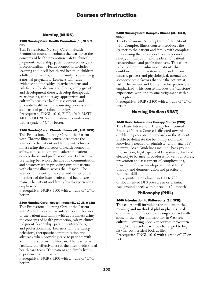# Nursing (NURS)

#### 1100 Nursing Care: Health Promotion (6L, 9LB, 9 CR):

This Professional Nursing Care in Health Promotion course introduces the learner to the concepts of health promotion, safety, clinical judgment, leadership, patient centeredness, and professionalism. Health promotion includes learning about self-health and health in children, adults, older adults, and the family experiencing a normal pregnancy. Learners will value evidence about healthy lifestyle patterns and risk factors for disease and illness, apply growth and development theory, develop therapeutic relationships, conduct age appropriate and culturally sensitive health assessment, and promote health using the nursing process and standards of professional nursing. Prerequisite: ENGL 1010, BIOL 1010, MATH 1400, ZOO 2015 and Freshman Foundations with a grade of "C" or better.

## 1200 Nursing Care: Chronic Illness (6L, 9LB, 9CR):

This Professional Nursing Care of the Patient with Chronic Illness course introduces the learner to the patient and family with chronic illness using the concepts of health promotion, safety, clinical judgment, leadership, patient centeredness, and professionalism. Learners will use caring behaviors, therapeutic communication, and advocacy when providing care to patients with chronic illness across the lifespan. The learner will identify the roles and values of the members of the inter-professional healthcare team. The patient and family lived-experience is emphasized.

Prerequisite: NURS 1100 with a grade of "C" or better.

# 2300 Nursing Care: Acute Illness (5L, 12LB, 9 CR):

This Professional Nursing Care of the Patient with Acute Illness course introduces the learner to the patient and family with acute illness using the concepts of health promotion, safety, clinical judgment, leadership, patient centeredness, and professionalism. Learners will use caring behaviors, therapeutic communication and advocacy when providing care to patients with acute illness across the lifespan. The learner will facilitate the effectiveness of the inter-professional health care team. The patient and family livedexperience is emphasized.

Prerequisite: NURS 1200 with a grade of "C" or better.

#### 2400 Nursing Care: Complex Illness (4L, 15LB, 9CR):

This Professional Nursing Care of the Patient with Complex Illness course introduces the learner to the patient and family with complex illness using the concepts of health promotion, safety, clinical judgment, leadership, patient centeredness, and professionalism. This course is focused on the vulnerable patient which could include multisystem acute and chronic disease, process and physiological, mental and socioeconomic factors that put the patient at risk. The patient and family lived-experience is emphasized. This course includes the "capstone" experience with one-to-one assignment with a preceptor.

Prerequisite: NURS 2300 with a grade of "C" or better.

# Nursing Studies (NRST)

# 1640 Basic Intravenous Therapy Course (2CR):

This Basic Intravenous Therapy for Licensed Practical Nurses Course is directed toward establishing acceptable standards so the student is able to delineate the beginning skills and knowledge needed to administer and manage IV therapy. Basic Guidelines include: background information, legal aspects of IV systems, fluid and electrolyte balance, procedures for venipunctures, prevention and assessment of complications, principles of pharmacology as related to IV therapy, and demonstration and practice of required skills.

Prerequisite: Enrollment in HLTK 2005 or documented DFS pre-screen or criminal background check within previous 24 months.

# Philosophy (PHIL)

# 1000 Introduction to Philosophy (3L, 3CR):

This course will introduce the student to the meaning and method of philosophy. Critical examination of life occurs through contact with some of the major philosophers in Western culture. Drawing upon key sources in Western thought, the student will be challenged to begin his/her own critical look at life. Prerequisite: ENGL 1010 with a grade of "C" or better.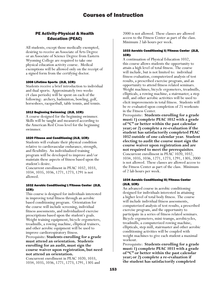# PE Activity-Physical & Health Education (PEAC)

All students, except those medically exempted, desiring to receive an Associate of Arts Degree or an Associate of Science Degree from Eastern Wyoming College are required to take one physical education activity course. Medical exemptions will be allowed only on the receipt of a signed form from the certifying doctor.

# 1008 Lifetime Sports (2LB, 1CR):

Students receive a brief introduction to individual and dual sports. Approximately two weeks (4 class periods) will be spent on each of the following: archery, badminton, bowling, golf, horseshoes, racquetball, table tennis, and tennis.

# 1012 Beginning Swimming (2LB, 1CR):

A course designed for the beginning swimmer. Skills will be taught and measured according to the American Red Cross level for the beginning swimmer.

# 1020 Fitness and Conditioning (2LB, 1CR):

Students will evaluate their physical condition relative to cardiovascular endurance, strength, and flexibility. An individualized training program will be developed to improve and/or maintain these aspects of fitness based upon the student's desire.

Concurrent enrollment in PEAC 1032, 1033, 1034, 1035, 1036, 1271, 1273, 1291 is not allowed.

# 1032 Aerobic Conditioning I/Fitness Center (2LB, 1CR):

This course is designed for individuals interested in improving total fitness through an aerobic based conditioning program. Orientation for the course will include screening, individual fitness assessments, and individualized exercise prescriptions based upon the student's goals. Weight training equipment, bicycle ergometers, treadmills, a rowing machine, elliptical trainers, and other aerobic equipment will be used to improve cardiorespiratory fitness. Prerequisite: **Students enrolling for a grade must attend an orientation. Students enrolling for an audit, must sign the course waiver upon registration, but need not attend an orientation.**

Concurrent enrollment in PEAC 1020, 1033, 1034, 1035, 1036, 1271, 1273, 1291, 1305 and

2000 is not allowed. These classes are allowed access to the Fitness Center as part of the class. Minimum 2 lab hours per week.

## 1033 Aerobic Conditioning II/Fitness Center (2LB, 1CR):

A continuation of Physical Education 1032, this course allows students the opportunity to attain a high level of total fitness. The course will include, but is not limited to: individual fitness evaluation, computerized analysis of test results, a prescribed exercise program, and an opportunity to attend fitness related seminars. Weight machines, bicycle ergometers, treadmills, ellipticals, a rowing machine, a stairmaster, a step mill, and other aerobic activities will be used to elicit improvements in total fitness. Students will be re-evaluated upon completion of 25 workouts in the Fitness Center.

Prerequisite: **Students enrolling for a grade must: 1) complete PEAC 1032 with a grade of "C" or better within the past calendar year; or 2) complete a re-evaluation if the student has satisfactorily completed PEAC 1032 outside of one calendar year. Student electing to audit the course must sign the course waiver upon registration and are not required to meet the prerequisites**. Concurrent enrollment in PEAC 1020, 1032, 1034, 1035, 1036, 1271, 1273, 1291, 1305, 2000 is not allowed. These classes are allowed access to the Fitness Center as part of the class. Minimum of 2 lab hours per week.

# 1034 Aerobic Conditioning III/Fitness Center (2LB, 1CR):

An advanced course in aerobic conditioning designed for individuals interested in attaining a higher level of total body fitness. The course will include individual fitness assessments, computerized analysis of test results, a prescribed exercise program, and the opportunity to participate in a series of fitness related seminars. Bicycle ergometers, mini-tramps, aerobicycles, treadmills, a computerized rowing machine, ellipticals, step mill, stairmaster and other aerobic conditioning activities will be coupled with weight machines to give each student a maximal workout.

Prerequisite: **Students enrolling for a grade must: 1) complete PEAC 1033 with a grade of "C" or better within the past calendar year; or 2) complete a re-evaluation if the student has satisfactorily completed**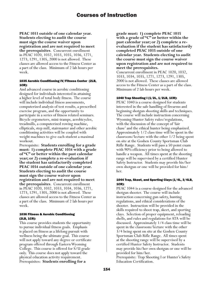**PEAC 1033 outside of one calendar year. Students electing to audit the course must sign the course waiver upon registration and are not required to meet the prerequisites**. Concurrent enrollment in PEAC 1020, 1032, 1033, 1035, 1036, 1271, 1273, 1291, 1305, 2000 is not allowed. These classes are allowed access to the Fitness Center as a part of the class. Minimum of 2 lab hours per week.

#### 1035 Aerobic Conditioning IV/Fitness Center (2LB, 1CR):

And advanced course in aerobic conditioning designed for individuals interested in attaining a higher level of total body fitness. The course will include individual fitness assessments, computerized analysis of test results, a prescribed exercise program, and the opportunity to participate in a series of fitness related seminars. Bicycle ergometers, mini-tramps, aerobicycles, treadmills, a computerized rowing machine, ellipticals, step mill, stairmaster and other aerobic conditioning activities will be coupled with weight machines to give each student a maximal workout.

Prerequisite: **Students enrolling for a grade must: 1) complete PEAC 1034 with a grade of "C" or better within the past calendar year; or 2) complete a re-evaluation if the student has satisfactorily completed PEAC 1034 outside of one calendar year. Students electing to audit the course must sign the course waiver upon registration and are not required to meet the prerequisites**. Concurrent enrollment in PEAC 1020, 1032, 1033, 1034, 1036, 1271, 1273, 1291, 1305, 2000 is not allowed. These classes are allowed access to the Fitness Center as a part of the class. Minimum of 2 lab hours per week.

#### 1036 Fitness & Aerobic Conditioning (2LB, 1CR):

This course provides students the opportunity to pursue individual fitness goals. Emphasis is placed on fitness as a lifelong pursuit with wellness being the ultimate goal. This course will not apply toward any degree or certificate program offered through Eastern Wyoming College. This course is offered for S/U grade only. This course does not apply toward the physical education activity requirement. Prerequisites: **Students enrolling for a** 

**grade must: 1) complete PEAC 1035 with a grade of "C" or better within the past calendar year; or 2) complete a reevaluation if the student has satisfactorily completed PEAC 1035 outside of one calendar year. Students electing to audit the course must sign the course waiver upon registration and are not required to meet the prerequisites.**

Concurrent enrollment in PEAC 1020, 1032, 1033, 1034, 1035, 1271, 1273, 1291, 1305, 2000 is not allowed. These classes are allowed access to the Fitness Center as a part of the class. Minimum of 2 lab hours per week.

## 1040 Trap Shooting I (1/2L, 1/2LB, 1CR):

PEAC 1040 is a course designed for students interested in the safe handling of firearms and beginning shotgun shooting skills and techniques. The course will include instruction concerning Wyoming Hunter Safety rules/regulations, with the discussion of the concept of 'fair chase' and the ethical hunter being emphasized. Approximately 1/2 class time will be spent in the classroom/lecture with the other 1/2 being spent on site at the Goshen County Sportsman Club Rifle Range. Students will pass a 50 point exam with 90% efficiency prior to being allowed to handle a weapon. All times spent at the shooting range will be supervised by a certified Hunter Safety Instructor. Students may provide his/her own shotgun or one will be provided for him/ her.

#### 1044 Trap, Skeet, and Sporting Clays (1/4L, 3/4LB, 1CR):

PEAC 1044 is a course designed for the advanced shotgun shooter. The course will include instruction concerning gun safety, hunting regulations, and ethical considerations of the shooter. Instruction will be provided in the skills required to shoot trap, skeet, and sporting clays. Selection of proper equipment, reloading shells, and rules and regulations for ATA will be discussed. Approximately 1/4 class time will be spent in the classroom/lecture with the other 3/4 being spent on site at the Goshen County Sportsman Club Rifle Range. All times spent at the shooting range will be supervised by a certified Hunter Safety Instructor. Students may provide his/her own shotgun or one will be provided for him/her.

Prerequisite: Trap Shooting I or Hunter's Safety Education Certification.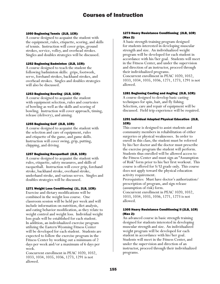allowed.

#### 1050 Beginning Tennis (2LB, 1CR):

A course designed to acquaint the student with the equipment, rules, etiquette, scoring, and skills of tennis. Instruction will cover grips, ground strokes, service, volley, and overhead strokes. Singles and doubles strategies will be discussed.

## 1252 Beginning Badminton (2LB, 1CR):

A course designed to teach the student the following badminton skills: grips, footwork, serve, forehand strokes, backhand strokes, and overhead strokes. Singles and doubles strategies will also be discussed.

# 1253 Beginning Bowling (2LB, 1CR):

A course designed to acquaint the student with equipment selection, rules and courtesies of bowling as well as the skills and scoring of bowling. Instruction will cover approach, timing, release (delivery), and aiming.

# 1255 Beginning Golf (2LB, 1CR):

A course designed to acquaint the student with the selection and care of equipment, rules and etiquette of the game, and game skills. Instruction will cover swing, grip, putting, chipping, and driving.

# 1257 Beginning Racquetball (2LB, 1CR):

A course designed to acquaint the student with rules, etiquette, safety measures, and skills of racquetball. Instruction will cover grip, forehand stroke, backhand stroke, overhand stroke, underhand stroke, and various serves. Singles and doubles strategies will be discussed.

## 1271 Weight Loss Conditioning (1L, 2LB, 1CR):

Exercise and dietary modifications will be combined in the weight loss course. One classroom session will be held per week and will include information on nutrition, diet analysis, and eating behavior modification, as they relate to weight control and weight loss. Individual weight loss goals will be established for each student. In addition, an individualized exercise program utilizing the Eastern Wyoming Fitness Center will be developed for each student. Students are expected to follow the exercise program in the Fitness Center by working out a minimum of 2 days per week and/or a maximum of 6 days per week.

Concurrent enrollment in PEAC 1020, 1032, 1033, 1034, 1035, 1036, 1273, 1291 is not allowed.

## 1273 Heavy Resistance Conditioning (2LB, 1CR) (Max 2):

A basic strength training program designed for students interested in developing muscular strength and size. An individualized weight program will be developed for each student in accordance with his/her goal. Students will meet in the Fitness Center, and under the supervision and direction of an instructor, proceed through their individualized programs. Concurrent enrollment in PEAC 1020, 1032, 1033, 1034, 1035, 1036, 1271, 1273, 1291 is not

# 1281 Beginning Casting and Angling (2LB, 1CR):

A course designed to develop basic casting techniques for spin, bait, and fly fishing. Selection, care and repair of equipment will be discussed. Field trip experience will be required.

## 1291 Individual Adapted Physical Education (2LB, 1CR):

This course is designed to assist students and community members in rehabilitation of either surgeries or physical weaknesses. In order to enroll in this class, the student must be referred by his/her doctor and the doctor must prescribe the exercise program the student will perform. Students thus enrolled will be allowed access to the Fitness Center and must sign an "Assumption of Risk" form prior to his/her first workout. This course is offered for S/U grade only. This course does not apply toward the physical education activity requirement.

Prerequisites: Must have doctor's authorization/ prescription of program, and sign release (assumption of risk) form.

Concurrent enrollment in PEAC 1020, 1032, 1033, 1034, 1035, 1036, 1271, 1273 is not allowed.

# 1305 Heavy Resistance Conditioning II (2LB, 1CR) (Max 2):

An advanced course in basic strength training designed for students interested in developing muscular strength and size. An individualized weight program will be developed for each student in accordance with his/her goal. Students will meet in the Fitness Center, and under the supervision and direction of an instructor, proceed through their individualized programs.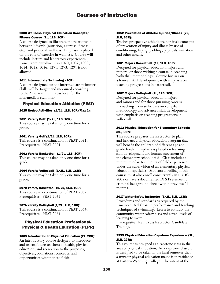#### 2000 Wellness: Physical Education Concepts/ Fitness Course (1L, 1LB, 1CR):

A course designed to illustrate the relationship between lifestyle (nutrition, exercise, fitness, etc.) and personal wellness. Emphasis is placed on the role of exercise in wellness. Course will include lecture and laboratory experiences. Concurrent enrollment in 1020, 1032, 1033, 1034, 1035, 1036, 1271, 1273, 1291 is not allowed.

#### 2011 Intermediate Swimming (1CR):

A course designed for the intermediate swimmer. Skills will be taught and measured according to the American Red Cross level for the intermediate swimmer.

# Physical Education-Athletics (PEAT)

#### 2025 Rodeo Activities (1/2L, 1LB, 1CR)(Max 2):

#### 2051 Varsity Golf (1/2L, 1LB, 1CR):

This course may be taken only one time for a grade.

#### 2061 Varsity Golf (1/2L, 1LB, 1CR):

This course is a continuation of PEAT 2051. Prerequisites: PEAT 2051

## 2062 Varsity Basketball (1/2L, 1LB, 1CR):

This course may be taken only one time for a grade.

## 2064 Varsity Volleyball (1/2L, 1LB, 1CR):

This course may be taken only one time for a grade.

#### 2072 Varsity Basketball (1/2L, 1LB, 1CR):

This course is a continuation of PEAT 2062. Prerequisites: PEAT 2062

# 2074 Varsity Volleyball (1/2L, 1LB, 1CR):

This course is a continuation of PEAT 2064. Prerequisites: PEAT 2064.

# Physical Education Professional-Physical & Health Education (PEPR)

## 1005 Introduction to Physical Education (2L, 2CR):

An introductory course designed to introduce and orient future teachers of health, physical education, and recreation to the purposes, objectives, obligations, concepts, and opportunities within these fields.

#### 1052 Prevention of Athletic Injuries/Illness (2L, 2LB, 3CR):

Teaches prospective athletic trainer basic concepts of prevention of injury and illness by use of conditioning, taping, padding, physicals, nutrition and other means.

#### 1061 Majors Basketball (1L, 1LB, 1CR):

Designed for physical education majors and minors, or those wishing a course in coaching basketball methodology. Course focuses on advanced skill development with emphasis on teaching progressions in basketball.

#### 1062 Majors Volleyball (1L, 1LB, 1CR):

Designed for physical education majors and minors and for those pursuing careers in coaching. Course focuses on volleyball methodology and advanced skill development with emphasis on teaching progressions in volleyball.

#### 2012 Physical Education for Elementary Schools (3L, 3CR):

This course prepares the instructor to plan and instruct a physical education program that will benefit the children of different age and grade levels. Emphasis is placed on learning skill development and human movement of the elementary school child. Class includes a minimum of sixteen hours of field experience under the supervision of an elementary physical education specialist. Students enrolling in this course must also enroll concurrently in EDUC 2005 or have a documented DFS Pre-screen or criminal background check within previous 24 months.

#### 2017 Water Safety Instructor (1/2L, 1LB, 1CR):

Procedures and standards as required by the American Red Cross in performance and teaching techniques of swimming. Learn to conduct the community water safety class and seven levels of learning to swim.

Prerequisite: Red Cross Instructor Candidate Training.

#### 2395 Physical Education Capstone Experience (1L, 2LB, 2CR):

This course is designed as a capstone class in the area of physical education. As a capstone class, it is designed to be taken in the final semester that a transfer physical education major is in residence at Eastern Wyoming College. The intent of the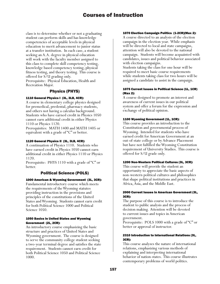class is to determine whether or not a graduating student can perform skills and has knowledge competencies of acceptable levels in physical education to merit advancement to junior status at a transfer institution. In each case, a student seeking an A.A. degree in physical education will work with the faculty member assigned to this class to complete skill competency testing, knowledge based competency testing, physical fitness testing, and theory testing. This course is offered for S/U grading only.

Prerequisite: Physical Education, Health and Recreation Major.

# Physics (PHYS)

# 1110 General Physics I (3L, 3LB, 4CR):

A course in elementary college physics designed for premedical, predental, pharmacy students, and others not having a calculus background. Students who have earned credit in Physics 1050 cannot earn additional credit in either Physics 1110 or Physics 1120.

Prerequisites: MATH 1400 and MATH 1405 or equivalent with a grade of "C" or better.

## 1120 General Physics II (3L, 3LB, 4CR):

A continuation of Physics 1110. Students who have earned credit in Physics 1050 cannot earn additional credit in either Physics 1110 or Physics 1120.

Prerequisite: PHYS 1110 with a grade of "C" or better.

# Political Science (POLS)

## 1000 American & Wyoming Government (3L, 3CR):

Fundamental introductory course which meets the requirements of the Wyoming statutes providing instruction in the provisions and principles of the constitutions of the United States and Wyoming. Students cannot earn credit for both Political Science 1000 and Political Science 1050.

## 1050 Basics in United States and Wyoming Government (2L, 2CR):

An introductory course emphasizing the basic structure and practices of United States and Wyoming government. The course is designed to serve the community college student seeking a two-year terminal degree and satisfies the state requirement. Students cannot earn credit for both Political Science 1050 and Political Science 1000.

#### 1070 Election Campaign Politics (1-2CR)(Max 2):

A course directed to an analysis of the election campaign in the election year. While emphasis will be directed to local and state campaigns, attention will also be devoted to the national campaign. Students will become acquainted with candidates, issues and political behavior associated with election campaigns.

Students taking the class for one hour will be required to meet basic course requirements while students taking class for two hours will be assigned a candidate to assist in the campaign.

## 1075 Current Issues in Political Science (1L, 1CR) (Max 2):

A course designed to promote an interest and awareness of current issues in our political system and offer a forum for the expression and exchange of political opinion.

## 1100 Wyoming Government (1L, 1CR):

This course provides an introduction to the Constitution and governmental process of Wyoming. Intended for students who have earned credit for American Government at an out-of-state college or by Advance Placement but have not fulfilled the Wyoming Constitution requirement of University Studies. This course is offered for S/U grade only.

## 1200 Non-Western Political Cultures (3L, 3CR):

This course will provide the student an opportunity to appreciate the basic aspects of non-western political cultures and philosophies that shape political institutions and practices in Africa, Asia, and the Middle East.

## 2000 Current Issues in American Government (3L, 3CR):

The purpose of this course is to introduce the student to public analysis and the process of decision making. Attention will be devoted to current issues and topics in American government.

Prerequisite: POLS 1000 with a grade of "C" or better or approval of instructor.

## 2310 Introduction to International Relations (3L, 3CR):

This course analyzes the nature of international relations, emphasizing various methods of explaining and interpreting international behavior of nation-states. This course illustrates contemporary problems of world politics.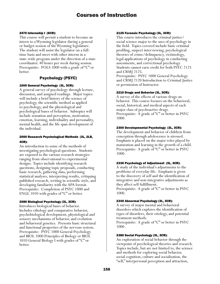#### 2470 Internship I (6CR):

This course will permit a student to become an intern to a Wyoming legislator during a general or budget session of the Wyoming legislature. The student will assist the legislator on a fulltime basis and meet with other interns in a state-wide program under the direction of a state coordinator. 40 hours per week during session. Prerequisite: POLS 1000 with a grade of "C" or better.

# Psychology (PSYC)

#### 1000 General Psychology (3L, 3CR):

A general survey of psychology through lecture, discussion, and assigned readings. Major topics will include a brief history of the science of psychology, the scientific method as applied to psychology, and the physiological and psychological bases of behavior. Subtopics will include sensation and perception, motivation, emotion, learning, individuality and personality, mental health, and the life span development of the individual.

## 2000 Research Psychological Methods (3L, 2LB, 4CR):

An introduction to some of the methods of investigating psychological questions. Students are exposed to the various research strategies ranging from observational to experimental designs. Topics include identifying research questions, designing topic proposals, conducting basic research, gathering data, performing statistical analyses, interpreting results, critiquing published research, writing in scientific style, and developing familiarity with the APA format. Prerequisite: Completion of PSYC 1000 and ENGL 1010 with grades of "C" or better.

## 2080 Biological Psychology (3L, 3CR):

Introduces biological bases of behavior. Includes ethology and comparative behavior, psychobiological development, physiological and sensory mechanisms of behavior, and evolution and behavioral genetics. Presents basic structural and functional properties of the nervous system. Prerequisite: PSYC 1000 General Psychology and BIOL 1000 Principles of Biology or BIOL 1010 General Biology I with grades of "C" or better.

#### 2125 Forensic Psychology (3L, 3CR):

This course introduces the criminal justice/ social science major to the uses of psychology in the field. Topics covered include basic criminal profiling, suspect interviewing, psychological theories of crime/delinquency, victimology, legal applications of psychology in conducting assessments, and correctional psychology. Students cannot earn credit for both PSYC 2125 and CRMJ 2125.

Prerequisite: PSYC 1000 General Psychology and CRMJ 2120 Introduction to Criminal Justice or permission of Instructor.

#### 2210 Drugs and Behavior (3L, 3CR):

A survey of the effects of various drugs on behavior. This course focuses on the behavioral, social, historical, and medical aspects of each major class of psychoactive drugs. Prerequisite: A grade of "C" or better in PSYC 1000.

#### 2300 Developmental Psychology (3L, 3CR):

The development and behavior of children from conception through adolescence is stressed. Emphasis is placed on the major roles played by maturation and learning in the growth of a child. Prerequisite: A grade of "C" or better in PSYC 1000.

#### 2330 Psychology of Adjustment (3L, 3CR):

A study of the individual's adjustments to the problems of everyday life. Emphasis is given to the discovery of self and the identification of integrative and non-integrative adjustments as they affect self-fulfillment.

Prerequisite: A grade of "C" or better in PSYC 1000.

## 2340 Abnormal Psychology (3L, 3CR):

A survey of major mental and behavioral disorders which explores the identification of types of disorders, their etiology, and potential treatment methods.

Prerequisite: A grade of "C" or better in PSYC 1000.

#### 2380 Social Psychology (3L, 3CR):

An exploration of social behavior through the viewpoint of psychological theories and research. Topics include, but are not limited to, the science and methods for exploring social behavior, social cognition, culture and socialization, the "self," interpersonal perception and attraction,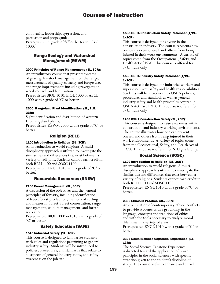conformity, leadership, aggression, and persuasion and propaganda. Prerequisite: A grade of "C" or better in PSYC 1000.

# Range Ecology and Watershed Management (REWM)

#### 2000 Principles of Range Management (3L, 3CR):

An introductory course that presents systems of grazing, livestock management on the range, measurement of grazing capacity and forage use, and range improvements including revegetation, weed control, and fertilization.

Prerequisite: BIOL 1010, BIOL 1000 or AECL 1000 with a grade of "C" or better.

#### 2500. Rangeland Plant Identification. (1L, 2LB, 2CR):

Sight identification and distribution of western U.S. rangeland plants.

Prerequisite: REWM 2000 with a grade of "C" or better.

# Religion (RELI)

## 1100 Introduction to Religion (3L, 3CR):

An introduction to world religions. A multidisciplinary approach is utilized to investigate the similarities and differences that exist between a variety of religions. Students cannot earn credit in both RELI 1100 and SOSC 1100.

Prerequisite: ENGL 1010 with a grade of "C" or better.

# Renewable Resources (RNEW)

## 2100 Forest Management (3L, 3CR):

A discussion of the objectives and the general principles of forestry, including identification of trees, forest production, methods of cutting and measuring forest, forest conservation, range management, wildlife management, and forest recreation.

Prerequisite: BIOL 1000 or1010 with a grade of "C" or better.

# Safety Education (SAFE)

## 1510 Industrial Safety (1L, 1CR):

This course is designed to familiarize students with rules and regulations pertaining to general industry safety. Students will be introduced to policies, procedures, and standards that relate to all aspects of general industry safety, and safety awareness on the job site.

## 1535 OSHA Construction Safety Refresher (1/2L, 1/2CR):

This course is designed for anyone in the construction industry. The course reorients how one can prevent oneself and others from being injured in their work environments. A variety of topics come from the Occupational, Safety, and Health Act of 1970. This course is offered for S/U grade only.

## 1536 OSHA Industry Safety Refresher (1/2L, 1/2CR):

This course is designed for industrial workers and supervisors with safety and health responsibilities. Students will be introduced to OSHA policies, procedures and standards as well as general industry safety and health principles covered in OSHA Act Part 1910. This course is offered for S/U grade only.

## 1705 OSHA Construction Safety (2L, 2CR):

This course is designed to raise awareness within construction and industry working environments. The course illustrates how one can prevent oneself and others from being injured in their work environments. A variety of topics come from the Occupational, Safety, and Health Act of 1970. This course is offered for S/U grade only.

# Social Science (SOSC)

## 1100 Introduction to Religion (3L, 3CR):

An introduction to world religions. A multidisciplinary approach is utilized to investigate the similarities and differences that exist between a variety of religions. Students cannot earn credit in both RELI 1100 and SOSC 1100. Prerequisite: ENGL 1010 with a grade of "C" or better.

## 2300 Ethics in Practice (3L, 3CR):

An examination of contemporary ethical conflicts to provide students with a grounding in the language, concepts and traditions of ethics and with the tools necessary to analyze moral dilemmas in a variety of areas. Prerequisite: ENGL 1010 with a grade of "C" or better.

#### 2395 Social Science Capstone Experience (1L, 1CR):

The Social Science Capstone Experience is directed toward the application of broad principles in the social sciences with specific attention given to the student's discipline of study. The course seeks to enhance and enrich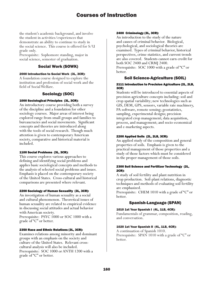the student's academic background, and involve the student in activities/experiences that demonstrate an ability to continue to study in the social science. This course is offered for S/U grade only.

Prerequisite: Sophomore standing, major in social science, semester of graduation.

# Social Work (SOWK)

## 2000 Introduction to Social Work (3L, 3CR):

A foundation course designed to explore the institution and profession of social work and the field of Social Welfare.

# Sociology (SOC)

# 1000 Sociological Principles (3L, 3CR):

An introductory course providing both a survey of the discipline and a foundation for other sociology courses. Major areas of interest being explored range from small groups and families to bureaucracies and social movements. Significant concepts and theories are introduced along with the tools of social research. Though much attention is given to contemporary American society, comparative and historical material is included.

## 1100 Social Problems (3L, 3CR):

This course explores various approaches to defining and identifying social problems and applies basic sociological concepts and methods to the analysis of selected social problems and issues. Emphasis is placed on the contemporary society of the United States. Cross-cultural and historical comparisons are presented where relevant.

## 2200 Sociology of Human Sexuality (3L, 3CR):

An investigation of human sexuality as a social and cultural phenomenon. Theoretical issues of human sexuality are related to empirical evidence in discussing social attitudes and actual behavior with American society. Prerequisite: PSYC 1000 or SOC 1000 with a grade of "C" or better.

## 2350 Race and Ethnic Relations (3L, 3CR):

Examines relations among minority and dominant groups with an emphasis on the society and culture of the United States. Relevant crosscultural analysis will also be included. Prerequisite: SOC 1000 or ANTH 1200 with a grade of "C" or better.

## 2400 Criminology (3L, 3CR):

An introduction to the study of the nature and causes of criminal behavior. Biological, psychological, and sociological theories are examined. Types of criminal behavior, historical perspectives, crime statistics, and current trends are also covered. Students cannot earn credit for both SOC 2400 and CRMJ 2400.

Prerequisite: SOC 1000 with a grade of "C" or better.

# Soil Science-Agriculture (SOIL)

#### 2111 Introduction to Precision Agriculture (2L, 2LB, 3CR)

Students will be introduced to essential aspects of precision agriculture concepts including: soil and crop spatial variability; new technologies such as GIS, DEM, GPS, sensors, variable rate machinery, PA software, remote sensing; geostatistics, sampling, experimental designs; precision integrated crop management; data acquisition, process, and management; and socio-economical and e-marketing aspects.

# 2200 Applied Soils (2L, 2LB, 3CR):

An applied study of the composition and general properties of soils. Emphasis is given to the practical management of those properties and a study of those factors which must be considered in the proper management of those soils.

# 2300 Soil Science and Fertilizer Technology (2L, 2CR):

A study of soil fertility and plant nutrition in crop production. Soil-plant relations, diagnostic techniques and methods of evaluating soil fertility are emphasized.

Prerequisite: CHEM 1010 with a grade of "C" or better.

# Spanish-Language (SPAN)

## 1010 1st Year Spanish I (4L, 1LB, 4CR):

Fundamentals of grammar, composition, reading, and conversation.

## 1020 1st Year Spanish II (4L, 1LB, 4CR):

A continuation of Spanish 1010. Prerequisite: SPAN 1010 with a grade of "C" or better.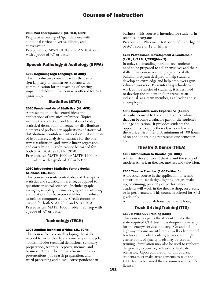#### 2030 2nd Year Spanish I (4L, 1LB, 4CR):

Progressive reading of Spanish prose with additional review in verbs, idioms, and conversation. Prerequisites: SPAN 1010 and SPAN 1020 each with a grade of "C" or better.

# Speech Pathology & Audiology (SPPA)

## 1050 Beginning Sign Language (2-3CR):

This introductory course teaches the use of sign language to familiarize students with communication for the teaching of hearing impaired children. This course is offered for S/U grade only.

# Statistics (STAT)

## 2050 Fundamentals of Statistics (4L, 4CR):

A presentation of the central ideas and applications of statistical inference. Topics include the collection and tabulation of data, statistical description of frequency distributions, elements of probability, applications of statistical distributions, confidence interval estimation, tests of hypotheses, analysis of variance for the oneway classification, and simple linear regression and correlation. Credit cannot be earned for both STAT 2050 and STAT 2070. Prerequisite: MATH 1000 or MATH 1400 or equivalent with a grade of "C" or better.

#### 2070 Introductory Statistics for the Social Sciences (4L, 4CR):

This course presents central ideas of descriptive statistics and statistical inference, as applied to questions in social sciences. Includes graphs, averages, sampling, estimation, hypothesis-testing and relationships between variables. Introduces associated computer skills. Credit cannot be earned for both STAT 2050 and STAT 2070. Prerequisite: MATH 1000 Problem Solving with a grade of "C" or better.

# Technology (TECH)

## 1005 Applied Technical Writing (3L, 3CR):

This course focuses on developing the skills needed to write clearly and concisely on the job. Topics include: technical definitions, summary preparation, technical reports, memos, and business letters. The course also includes oral presentations, job search preparation, and word processing and e-mail correspondence in

business. This course is intended for students in technical programs.

Prerequisite: Placement test score of 56 or higher or ACT score of 15 or higher.

## 1750 Professional Development & Leadership (1/2L, 1/2 LB, 1/2CR)(Max 2):

In today's demanding marketplace, students need to be prepared to sell themselves and their skills. This course is an employability skillbuilding program designed to help students develop an extra edge and help employers gain valuable workers. By reinforcing school-towork competencies of students, it is designed to develop the student in four areas: as an individual, as a team member, as a leader and as an employee.

## 1980 Cooperative Work Experience (1-8CR):

An enhancement to the student's curriculum that can become a valuable part of the student's college education. It provides students the opportunity to apply their classroom learning in the work environment. A minimum of 100 hours of on-the-job training represents one semester hour.

# Theatre & Dance (THEA)

## 1000 Introduction to Theatre (3L, 3CR):

A brief history of world theatre and the study of modern American theatre, movies, and television.

## 2050 Theatre Practice (1-3CR) (Max 5):

A practical course in the application of scenic construction, set design, lighting design, makeup, costuming, publicity or performance. Students will work in the theatre shop, on crews, or in performance. This course is offered for S/U grade only.

A minimum of 30 lab hours per credit hour.

# Truck Driving Training (TTD)

## 1500 Novice CDL Training (5CR):

This course prepares the student to take the state required CDL test. It is designed primarily for the energy service industry. On and off highway terrains are utilized as well as late model tractors and loaded trailers, tankers, and high center point of gravity loads may be used in training. Simulation may also be used to replicate dangerous, expensive, or hard-to duplicate scenarios. Upon completion of this course, students must make arrangements to take the DOT test to be issued their commercial driver's license.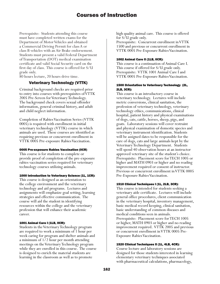Prerequisite: Students attending this course must have completed written exams for the Department of Motor Vehicles and obtained a Commercial Driving Permit for class A or class B vehicles with an Air Brake endorsement. Students must present a valid Federal Department of Transportation (DOT) medical examination certificate and valid Social Security card on the first day of class. This course is offered for S/U grade only.

80 hours lecture, 20 hours drive time.

# Veterinary Technology (VTTK)

Criminal background checks are required prior to entry into courses with prerequisites of VTTK 2005 Pre-Screen for Veterinary Technology. The background check covers sexual offender information, general criminal history, and adult and child neglect information.

Completion of Rabies Vaccination Series (VTTK 0005) is required with enrollment in initial veterinary technology (VTTK) course in which animals are used. These courses are identified as requiring previous or concurrent enrollment in VTTK 0005 Pre-exposure Rabies Vaccination.

#### 0005 Pre-exposure Rabies Vaccination (0CR)

This course is for students to complete or provide proof of completion of the pre-exposure rabies vaccination series required for veterinary technology courses utilizing animals.

#### 1000 Introduction to Veterinary Science (1L, 1CR):

This course is designed as an orientation to the college environment and the veterinary technology and aid programs. Lectures and assignments will emphasize goal setting, learning strategies and effective communication. The course will aid the student in identifying resources within the college and the veterinary profession that will enhance their academic career.

#### 1001 Animal Care I (1LB, 0CR):

Students in the Veterinary Technology program are required to work a minimum of 1 hour per week caring for program and shelter animals and a minimum of 1/2 hour per month attending meetings on the Veterinary Technology program while they are enrolled in this course. The course is designed to enrich the material students are learning in the classroom as well as to promote

high quality animal care. This course is offered for S/U grade only.

Prerequisite: Concurrent enrollment in VTTK 1500 and previous or concurrent enrollment in VTTK 0005 Pre-Exposure Rabies Vaccination.

#### 1002 Animal Care II (1LB, 0CR):

This course is a continuation of Animal Care I. This course if offered for S/U grade only. Prerequisite: VTTK 1001 Animal Care I and VTTK 0005 Pre-Exposure Rabies Vaccination.

## 1500 Orientation to Veterinary Technology (2L, 2LB, 3CR):

This course is an introductory course in veterinary technology. Lectures will include metric conversions, clinical sanitation, the profession of veterinary technology, veterinary technology ethics, communications, clinical hospital, patient history and physical examinations of dogs, cats, cattle, horses, sheep, pigs, and goats. Laboratory sessions will cover restraint and physical examination of domestic species and veterinary instrument identification. Students will be assigned dates to be responsible for the care of dogs, cats and large animals kept by the Veterinary Technology Department. Students will spend 40 observation hours at an instructor approved veterinary site of the student's choice. Prerequisite: Placement score for TECH 1005 or higher and MATH 0903 or higher and no reading improvement required or consent of instructor. Previous or concurrent enrollment in VTTK 0005 Pre-Exposure Rabies Vaccination.

## 1510 Clinical Techniques I (1L, 2LB, 3CR):

This course is intended for students seeking a veterinary aide certificate. Lectures will include general office procedures, client communication in the veterinary hospital, inventory management, basic medical record keeping, clinical sanitation, basic understanding of common diseases and medical conditions seen in animals. Prerequisite: Placement score for TECH 1005 or higher, MATH 0903 or higher and no reading improvement required. VTTK 2005 and previous or concurrent enrollment in VTTK 0005 Pre-Exposure Rabies Vaccination.

## 1520 Clinical Techniques II (1L, 4LB, 4CR):

Course lecture and laboratory sessions are designed for those students interested in learning elementary veterinary techniques associated with pharmaceutical calculations, pharmacology,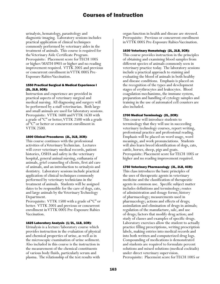urinalysis, hematology, parasitology and diagnostic imaging. Laboratory sessions includes practical application of clinical techniques commonly performed by veterinary aides in the treatment of animals. This course is required for the Veterinary Aide Certificate Program. Prerequisite: Placement score for TECH 1005 or higher/MATH 0903 or higher and no reading improvement required. VTTK 2005 and previous or concurrent enrollment in VTTK 0005 Pre-Exposure Rabies Vaccination.

#### 1550 Practical Surgical & Medical Experience I (2L, 2LB, 3CR):

Instruction and experience are provided in practical aspects of veterinary surgical and medical nursing. All diagnosing and surgery will be performed by a staff veterinarian. Both large and small animals are used for laboratory sessions. Prerequisite: VTTK 1600 and VTTK 1630 with a grade of "C" or better, VTTK 2500 with a grade of "C" or better or concurrent enrollment in VTTK 2500.

## 1600 Clinical Procedures (2L, 3LB, 3CR):

This course continues with the professional activities of a Veterinary Technician. Lectures will cover veterinary medical records, patient histories, OSHA and safety in the veterinary hospital, general animal nursing, euthanasia of animals, grief counseling of clients, first aid care of animals, and an introduction to urinalysis and dentistry. Laboratory sessions include practical application of clinical techniques commonly performed by veterinary technicians in the treatment of animals. Students will be assigned dates to be responsible for the care of dogs, cats, and large animals by the Veterinary Technology Department.

Prerequisite: VTTK 1500 with a grade of "C" or better. VTTK 2005 and previous or concurrent enrollment in VTTK 0005 Pre-Exposure Rabies Vaccination.

## 1625 Laboratory Analysis (1/2L, 1LB, 1CR):

Urinalysis is a lecture/laboratory course which provides instruction in the evaluation of physical and chemical properties of urine, as well as in the microscopic examination of urine sediment. Also included in this course is the instruction in the measurement of the chemical constituents of various body fluids, particularly serum and plasma. The relationship of the test results with

organ function in health and disease are stressed. Prerequisite: Previous or concurrent enrollment in VTTK 0005 Pre-Exposure Rabies Vaccination.

#### 1630 Veterinary Hematology (2L, 2LB, 3CR):

This course provides instruction in the principles of obtaining and examining blood samples from different species of animals commonly seen in veterinary practice today. The laboratory sessions include a practical approach to staining and evaluating the blood of animals in both healthy and disease conditions. Emphasis is placed on the recognition of the types and development stages of erythrocytes and leukocytes. Blood coagulation mechanisms, the immune system, preparation and handling of cytology samples and training in the use of automated cell counters are also included.

#### 1700 Medical Terminology (2L, 2CR):

This course will introduce students to terminology that they will use in succeeding veterinary technology courses, report writing, professional practice and professional reading. Emphasis will be placed on word usage, word meanings, and work pronunciations. Students will also learn breed identification of dogs, cats, cattle, horses, sheep, pigs and goats. Prerequisite: Placement score for TECH 1005 or higher and no reading improvement required.

## 1750 Veterinary Pharmacology (3L, 2LB, 4CR):

This class introduces the basic principles of the uses of therapeutic agents in veterinary medicine and the classification of therapeutic agents in common use. Specific subject matter includes definitions and terminology; routes of administration and dosage forms; history of pharmacology; measurements used in pharmacology; actions and effects of drugs; assimilation and elimination of drugs in animals; regulation of the manufacture, sale, and use of drugs; factors that modify drug action; and study of classes and examples of specific drugs. Laboratory exercises allow the student to actually practice filling prescriptions, writing prescription labels, making entries into medical records and into both written and computerized drug logs. Compounding of medications is demonstrated and students are required to formulate percent solutions and mixed solutions (medical cocktails) under direct veterinary supervision. Prerequisite: Placement score for TECH 1005 or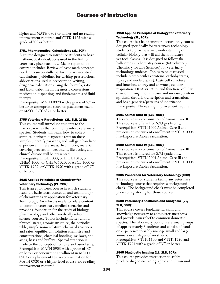higher and MATH 0903 or higher and no reading improvement required and VTTK 1925 with a grade of "C" or better.

#### 1751 Pharmaceutical Calculations (3L, 3CR):

A course designed to introduce students to basic mathematical calculations used in the field of veterinary pharmacology. Major topics to be covered include: Review of basic math concepts needed to successfully perform pharmaceutical calculations; guidelines for writing prescriptions; abbreviations used in prescription writing, drug dose calculations using the formula, ratio and factor-label methods; metric conversions, medication dispensing, and fundamentals of fluid therapy.

Prerequisite: MATH 0920 with a grade of "C" or better or appropriate score on placement exam or MATH ACT of 21 or better.

#### 1755 Veterinary Parasitology (2L, 1LB, 2CR):

This course will introduce students to the macro-parasites that commonly infect veterinary species. Students will learn how to collect samples, perform diagnostic tests on these samples, identify parasites, and will gain hands-on experience in these areas. In addition, material covering prevention, treatment, life cycles, and clinical disease will be presented. Prerequisite: BIOL 1000, or BIOL 1010, or CHEM 1000, or CHEM 1020, or AECL 1000 or VTTK 1925, or VTTK 1950 with a grade of "C" or better.

#### 1925 Applied Principles of Chemistry for Veterinary Technology (2L, 2CR):

This is an eight week course in which students learn the basic facts, concepts, and terminology of chemistry as an application for Veterinary Technology. An effort is made to relate content to common veterinary medical scenarios and provide a foundation for the study of biology, pharmacology and other medically related science courses. Topics include matter and its physical states, atomic structure, the periodic table, simple nomenclature, chemical reactions and rates, equilibrium solution chemistry and concentrations, chemical bonding, gas laws, and acids, bases and buffers. Special attention is made to the concepts of tonicity and osmolarity. Prerequisite: MATH 0903 with a grade of "C" or better or concurrent enrollment in MATH 0903 or a placement test recommendation for MATH 0920 or a higher level course; no reading improvement required.

#### 1950 Applied Principles of Biology for Veterinary Technology (2L, 2CR):

This course is a half-semester, lecture-only course designed specifically for veterinary technology students to provide a basic understanding of cellular biology that will aid them in future vet tech classes. It is designed to follow the half-semester chemistry course (Introductory Chemistry for Life Sciences) for veterinary technology students. Topics to be discussed include biomolecules (proteins, carbohydrates, lipids, and nucleic acids), basic cell structure and function, energy and enzymes, cellular respiration, DNA structure and function, cellular division through both mitosis and meiosis, protein synthesis through transcription and translation, and basic genetics/patterns of inheritance. Prerequisite: No reading improvement required.

#### 2001 Animal Care III (1LB, 0CR):

This course is a continuation of Animal Care II. This course is offered for S/U grade only. Prerequisite: VTTK 1002 Animal Care II and previous or concurrent enrollment in VTTK 0005 Pre-Exposure Rabies Vaccination.

#### 2002 Animal Care IV (1LB, 0CR):

This course is a continuation of Animal Care III. This course is offered for S/U grade only. Prerequisite: VTTK 2001 Animal Care III and previous or concurrent enrollment in VTTK 0005 Pre-Exposure Rabies Vaccination.

#### 2005 Pre-screen for Veterinary Technology (0CR)

This course is for students taking any veterinary technology course that requires a background check. The background check must be completed prior to registering for those courses.

#### 2500 Veterinary Anesthesia and Analgesia (2L, 2LB, 3CR):

This course covers fundamental skills and knowledge necessary to administer anesthesia and provide pain relief to common domestic species. The laboratory portions are small groups of approximately 6 students and consist of hands on experience to safely manage small and large animals in all stages of anesthesia. Prerequisite: VTTK 1600 and VTTK 1750 and VTTK 1751 with a grade of "C" or better.

#### 2505 Diagnostic Imaging (1L, 2LB, 2CR):

This course provides instruction to safely produce diagnostic radiographic and ultrasound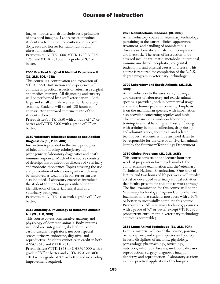images. Topics will also include basic principles of advanced imaging. Laboratories introduce students to techniques to position and prepare dogs, cats and horses for radiographic and ultrasound studies.

Prerequisite: VTTK 1600, VTTK 1750, VTTK 1751 and VTTK 2510 with a grade of "C" or better.

#### 2550 Practical Surgical & Medical Experience II (2L, 2LB, 1OT, 4CR):

This course is a continuation and expansion of VTTK 1550. Instruction and experience will continue in practical aspects of veterinary surgical and medical nursing. All diagnosing and surgery will be performed by a staff veterinarian. Both large and small animals are used for laboratory sessions. Students will spend 120 hours at an instructor approved veterinary site of the student's choice.

Prerequisite: VTTK 1550 with a grade of "C" or better and VTTK 2500 with a grade of "C" or better.

## 2610 Veterinary Infectious Diseases and Applied Diagnostics (3L, 2 LB, 4CR)

Instruction is provided in the basic principles of infection, including etiologic agents, pathogenicity, laboratory diagnostics and host's immune response. Much of the course consists of descriptions of infectious diseases of veterinary and zoonotic importance. Topics covering the use and prevention of infectious agents which may be employed as weapons in bio-terrorism are also included. Laboratory exercises introduce the student to the techniques utilized in the identification of bacterial, fungal and viral veterinary pathogens.

Prerequisite: VTTK 1630 with a grade of "C" or better.

## 2615 Anatomy & Physiology of Domestic Animals I/II (2L, 2LB, 3CR):

This course covers comparative anatomy and physiology of domestic animals. Body systems included are: integument, skeletal, muscle, cardiovascular, respiratory, nervous, special senses, urinary, endocrine, digestive, and reproductive. Students cannot earn credit in both ANSC 2615 and VTTK 2615.

Prerequisites: VTTK 1925 or CHEM 1000 with a grade of "C" or better and VTTK 1950 or BIOL 1010 with a grade of "C" or better and no reading improvement required.

## 2620 Noninfectious Diseases (3L, 3CR):

An introductory course in veterinary technology pertaining to the causes, clinical appearance, treatment, and handling of noninfectious diseases in domestic animals, both companion and livestock. The areas of instruction to be covered include traumatic, metabolic, nutritional, immune-mediated, neoplastic, congenital, toxicologic, and physical causes of disease. This course is required for completion of the A.A.S. degree program in Veterinary Technology.

## 2700 Laboratory and Exotic Animals (2L, 2LB, 3CR):

An introduction to the uses, care, housing, and diseases of laboratory and exotic animal species is provided, both in commercial usage and in the home/pet environment. Emphasis is on the mammalian species, with information also provided concerning reptiles and birds. The course includes hands-on laboratory training in animal handling and restraint along with training in blood collection, drug dosing and administration, anesthesia, and related techniques. Students will be assigned dates to be responsible for the care of all vivarian animals kept by the Veterinary Technology Department.

## 2750 Clinical Problems (2L, 2LB, 3CR):

This course consists of one lecture hour per week of preparation for the job market, the comprehensive examination and the Veterinary Technician National Examination. One hour of lecture and two hours of lab per week will involve actual or developed veterinary clinical activities that faculty present for students to work through. The final examination for this course will be the Veterinary Technology Program Comprehensive Examination that students must pass with a 70% or better to successfully complete this course. Prerequisites: All veterinary technology courses with a grade of "C" or better except VTTK 2950 (concurrent enrollment in veterinary technology courses is acceptable).

## 2815 Large Animal Techniques (3L, 2LB, 4CR):

Lecture material will cover the bovine, porcine, ovine, caprine, and equine species and poultry in basic disciplines of anatomy, physiology, parasitology, pharmacology, toxicology, nutrition, infectious diseases, metabolic diseases, reproduction, surgery, diagnostic imaging, dentistry, and reproduction. Laboratory sessions include practical application of techniques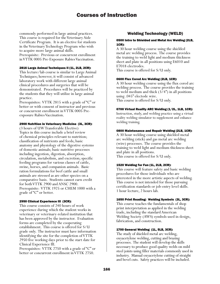commonly performed in large animal practices. This course is required for the Veterinary Aide Certificate Program. It is an elective for students in the Veterinary Technology Program who wish to acquire more large animal skills. Prerequisite: Previous or concurrent enrollment in VTTK 0005 Pre-Exposure Rabies Vaccination.

#### 2816 Large Animal Techniques II (1L, 2LB, 2CR):

This lecture/lab course is similar to Large Animal Techniques; however, it will consist of advanced laboratory work with different large animal clinical procedures and surgeries that will be demonstrated. Procedures will be practiced by the students that they will utilize in large animal practice.

Prerequisites: VTTK 2815 with a grade of "C" or better or with consent of instructor and previous or concurrent enrollment in VTTK 0005 Preexposure Rabies Vaccination.

#### 2900 Nutrition in Veterinary Medicine (3L, 3CR):

(3 hours of UW Transferable Elective) Topics in this course include a brief review of chemical principles relevant to nutrition; classification of nutrients and feeds; basic anatomy and physiology of the digestive systems of domestic animals; basic nutritive processes including ingestion, digestion, absorption, circulation, metabolism, and excretion; specific feeding programs for various classes of cattle, swine, horses, and companion animals. Basic ration formulations for beef cattle and small animals are stressed as are other species on a comparative basis. Students cannot earn credit for both VTTK 2900 and ANSC 2900. Prerequisite: VTTK 1925 or CHEM 1000 with a grade of "C" or better.

#### 2950 Clinical Experience III (3CR):

This course consists of 240 hours of work experience during which the student works in veterinary or veterinary-related institution that has been approved by the instructor. Evaluation forms are completed by the cooperating establishment. This course is offered for S/U grade only. The instructor must have information identifying the site for the completion of VTTK 2950 five working days prior to the start date for Clinical Experience III.

Prerequisites: VTTK 2750 with a grade of "C" or better or concurrent enrollment in VTTK 2750.

# Welding Technology (WELD)

#### 0500 Intro to Shielded and Metal Arc Welding (2LB, 1CR):

A 30 hour welding course using the shielded metal arc welding process. The course provides the training to weld light and medium thickness sheet and plate in all positions using E6010 and E7018 electrodes. This course is offered for S/U only.

#### 0600 Flux Cored Arc Welding (2LB, 1CR):

A 30 hour welding course using the flux cored arc welding process. The course provides the training to weld medium and thick (3/4") in all positions using .045" electode wire. This course is offered for S/U only.

#### 0700 Virtual Reality ARC Welding (1/2L, 1LB, 1CR):

Instruction, study, and welding practice using a virtual reality welding simulator to supplement and enhance welding training.

#### 0800 Maintenance and Repair Welding (2LB, 1CR):

A 30 hour welding course using shielded metal arc welding (stick) and gas metal arc welding (wire) processes. The course provides the training to weld light and medium thickness sheet and plate in all positions. This course is offered for S/U only.

#### 1520 Welding for Fun (1L, 2LB, 2CR):

This course will feature safety and basic welding procedures for those individuals who are interested in the more artistic aspects of welding. This course is not intended for those pursuing certification standards or job-entry level skills. 1 hour lecture, 2 hours lab.

#### 1650 Print Reading: Welding Symbols (3L, 3CR):

This course teaches the fundamentals of shop print interpretation as applied in the welding trade, including the standard American Welding Society (AWS) symbols used in design, fabrication, and construction.

#### 1700 General Welding (1L, 5LB, 3CR):

The study of shielded metal arc welding, oxyacetylene welding, cutting and brazing processes. The student will develop the skills necessary to produce good quality welds on mild steel joints using filler materials commonly used in industry. Manual oxyacetylene cutting of straight and bevel cuts. Safety practices will be included.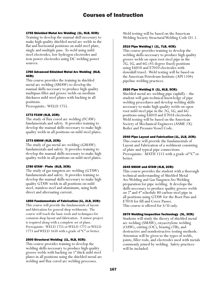#### 1755 Shielded Metal Arc Welding (1L, 9LB, 5CR):

Training to develop the manual skill necessary to make high quality shielded metal arc welds in the flat and horizontal positions on mild steel plate, single and multiple pass. To weld using mild steel electrodes, low hydrogen electrodes and iron power electrodes using DC welding power sources.

## 1760 Advanced Shielded Metal Arc Welding (8LB, 4CR):

This course provides the training in shielded metal arc welding (SMAW) to develop the manual skills necessary to produce high quality multipass fillet and groove welds on medium thickness mild steel plates with backing in all positions.

Prerequisite: WELD 1755.

## 1772 FCAW (4LB, 2CR):

The study of flux cored arc welding (FCAW) fundamentals and safety. It provides training to develop the manual skills necessary to make high quality welds in all positions on mild steel plates.

#### 1773 GMAW (4LB, 2CR):

The study of gas metal arc welding (GMAW) fundamentals and safety. It provides training to develop the manual skills necessary to make high quality welds in all positions on mild steel plates.

## 1780 GTAW - Plate (6LB, 3CR):

The study of gas tungsten arc welding (GTAW) fundamentals and safety. It provides training to develop the manual skills necessary to make high quality GTAW welds in all positions on mild steel, stainless steel and aluminum, using both direct and alternating current.

#### 1850 Fundamentals of Fabrication (1L, 2LB, 2CR):

This course will provide the fundamentals of layout and fabrication for general shop weldments. The course will teach the basic tools and techniques for common shop layout and fabrication. A minor project is required along with a complete set of plans. Prerequisite: WELD 1755 or WELD 1772 or WELD 1773 and WELD 1650 with a grade of "C" or better.

## 2500 Structural Welding (1L, 9LB, 5CR):

This course provides training to develop the welding skills necessary to produce high quality groove welds with backing on 1" thick mild steel plates in all positions using the shielded metal arc welding and flux cored arc welding processes.

Weld testing will be based on the American Welding Society Structural Welding Code D1.1.

#### 2510 Pipe Welding I (1L, 7LB, 4CR):

This course provides training to develop the welding skills necessary to produce high quality groove welds on open root steel pipe in the 2G, 5G, and 6G (45 degree fixed) positions using E6010 and E7010 electrodes with downhill travel. Weld testing will be based on the American Petroleum Institute (API 1104) pipeline welding practices.

#### 2520 Pipe Welding II (1L, 8LB, 5CR):

Shielded metal arc welding pipe (uphill)—the student will gain technical knowledge of pipe welding procedures and develop welding skills necessary to make high quality welds on open root mild steel pipe in the 2G, 5G, and 6G positions using E6010 and E7018 electrodes. Weld testing will be based on the American Society of Mechanical Engineers (ASME 1X) Boiler and Pressure Vessel Code.

## 2540 Pipe Layout and Fabrication (1L, 2LB, 2CR):

This course will provide the fundamentals of Layout and Fabrication of a weldment consisting of plate and typical pipe connections. Prerequisite: MATH 1515 with a grade of "C" or better.

#### 2645 SMAW and GTAW (4LB, 2CR):

This course provides the student with a thorough technical understanding of Shielded Metal Arc Welding and Gas Tungsten Arc Welding preparation for pipe welding. It develops the skills necessary to produce quality groove welds on 2" and 4" schedule 80 carbon steel pipe in all positions using GTAW for the Root Pass and E7018 for fill and Cover Passes. This course is offered for S/U only.

#### 2670 Welding Inspection Technology (3L, 3CR):

Students will study the theory of shielded metal arc welding (SMAW), oxyacetylene welding (OAW), cutting (OC), brazing (TB), and destructive and nondestructive testing methods. Attention will be given to the types of welds, joints, filler rods, and electrodes used with metals commonly joined by welding. Safety practices will be included.